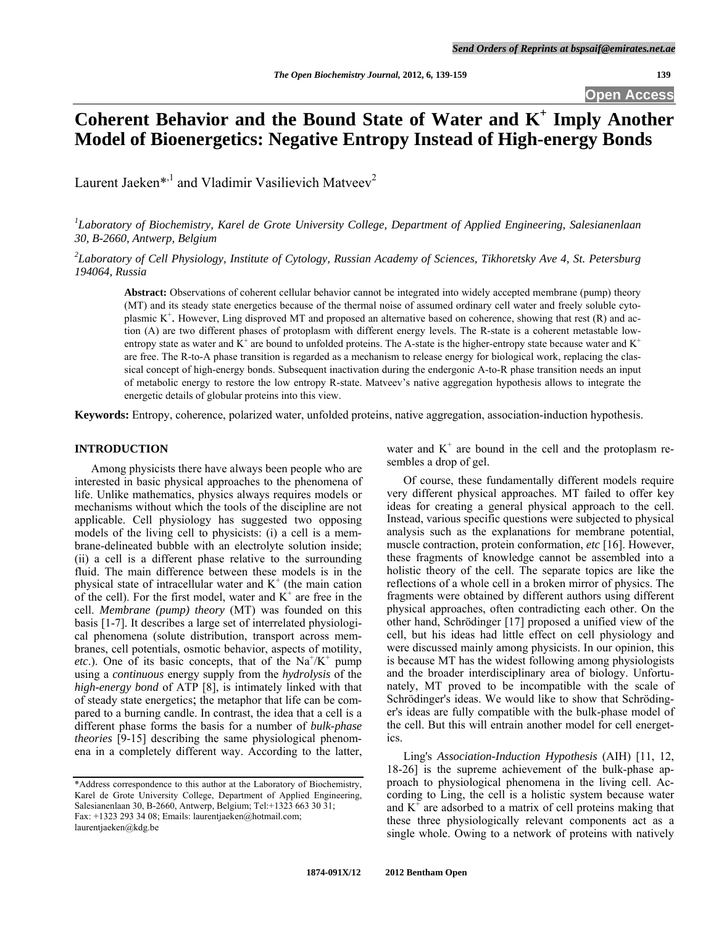# Coherent Behavior and the Bound State of Water and K<sup>+</sup> Imply Another **Model of Bioenergetics: Negative Entropy Instead of High-energy Bonds**

Laurent Jaeken<sup>\*,1</sup> and Vladimir Vasilievich Matveev<sup>2</sup>

*1 Laboratory of Biochemistry, Karel de Grote University College, Department of Applied Engineering, Salesianenlaan 30, B-2660, Antwerp, Belgium* 

*2 Laboratory of Cell Physiology, Institute of Cytology, Russian Academy of Sciences, Tikhoretsky Ave 4, St. Petersburg 194064, Russia* 

**Abstract:** Observations of coherent cellular behavior cannot be integrated into widely accepted membrane (pump) theory (MT) and its steady state energetics because of the thermal noise of assumed ordinary cell water and freely soluble cytoplasmic  $K^+$ . However, Ling disproved MT and proposed an alternative based on coherence, showing that rest (R) and action (A) are two different phases of protoplasm with different energy levels. The R-state is a coherent metastable lowentropy state as water and  $K^+$  are bound to unfolded proteins. The A-state is the higher-entropy state because water and  $K^+$ are free. The R-to-A phase transition is regarded as a mechanism to release energy for biological work, replacing the classical concept of high-energy bonds. Subsequent inactivation during the endergonic A-to-R phase transition needs an input of metabolic energy to restore the low entropy R-state. Matveev's native aggregation hypothesis allows to integrate the energetic details of globular proteins into this view.

**Keywords:** Entropy, coherence, polarized water, unfolded proteins, native aggregation, association-induction hypothesis.

#### **INTRODUCTION**

 Among physicists there have always been people who are interested in basic physical approaches to the phenomena of life. Unlike mathematics, physics always requires models or mechanisms without which the tools of the discipline are not applicable. Cell physiology has suggested two opposing models of the living cell to physicists: (i) a cell is a membrane-delineated bubble with an electrolyte solution inside; (ii) a cell is a different phase relative to the surrounding fluid. The main difference between these models is in the physical state of intracellular water and  $K^+$  (the main cation of the cell). For the first model, water and  $K^+$  are free in the cell. *Membrane (pump) theory* (MT) was founded on this basis [1-7]. It describes a large set of interrelated physiological phenomena (solute distribution, transport across membranes, cell potentials, osmotic behavior, aspects of motility, *etc.*). One of its basic concepts, that of the  $Na^+/K^+$  pump using a *continuous* energy supply from the *hydrolysis* of the *high-energy bond* of ATP [8], is intimately linked with that of steady state energetics; the metaphor that life can be compared to a burning candle. In contrast, the idea that a cell is a different phase forms the basis for a number of *bulk-phase theories* [9-15] describing the same physiological phenomena in a completely different way. According to the latter,

water and  $K^+$  are bound in the cell and the protoplasm resembles a drop of gel.

 Of course, these fundamentally different models require very different physical approaches. MT failed to offer key ideas for creating a general physical approach to the cell. Instead, various specific questions were subjected to physical analysis such as the explanations for membrane potential, muscle contraction, protein conformation, *etc* [16]. However, these fragments of knowledge cannot be assembled into a holistic theory of the cell. The separate topics are like the reflections of a whole cell in a broken mirror of physics. The fragments were obtained by different authors using different physical approaches, often contradicting each other. On the other hand, Schrödinger [17] proposed a unified view of the cell, but his ideas had little effect on cell physiology and were discussed mainly among physicists. In our opinion, this is because MT has the widest following among physiologists and the broader interdisciplinary area of biology. Unfortunately, MT proved to be incompatible with the scale of Schrödinger's ideas. We would like to show that Schrödinger's ideas are fully compatible with the bulk-phase model of the cell. But this will entrain another model for cell energetics.

 Ling's *Association-Induction Hypothesis* (AIH) [11, 12, 18-26] is the supreme achievement of the bulk-phase approach to physiological phenomena in the living cell. According to Ling, the cell is a holistic system because water and  $K^+$  are adsorbed to a matrix of cell proteins making that these three physiologically relevant components act as a single whole. Owing to a network of proteins with natively

<sup>\*</sup>Address correspondence to this author at the Laboratory of Biochemistry, Karel de Grote University College, Department of Applied Engineering, Salesianenlaan 30, B-2660, Antwerp, Belgium; Tel:+1323 663 30 31; Fax: +1323 293 34 08; Emails: laurentjaeken@hotmail.com; laurentjaeken@kdg.be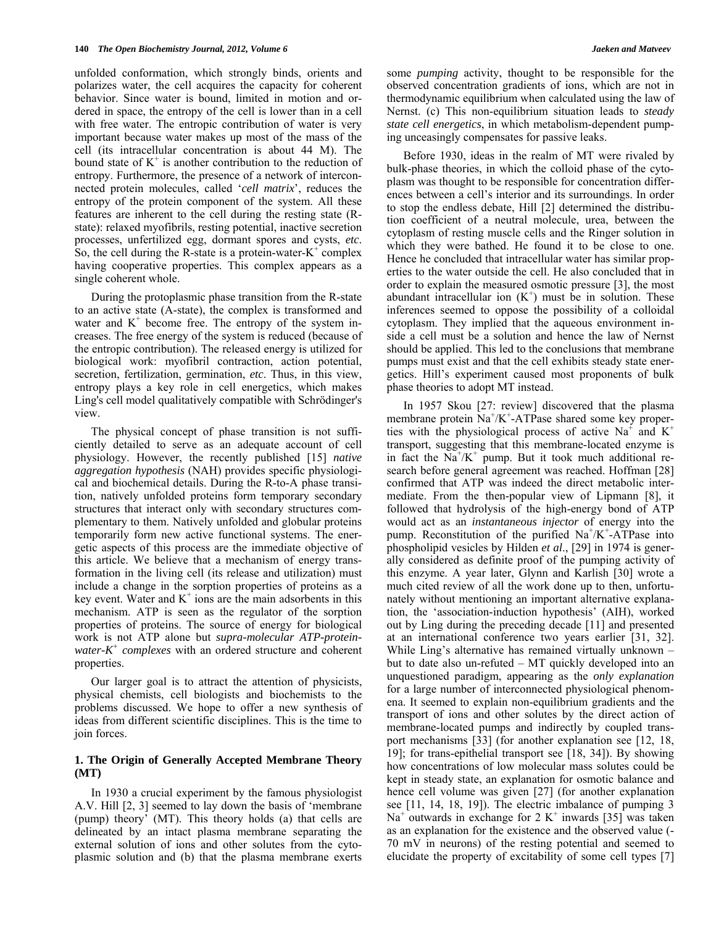unfolded conformation, which strongly binds, orients and polarizes water, the cell acquires the capacity for coherent behavior. Since water is bound, limited in motion and ordered in space, the entropy of the cell is lower than in a cell with free water. The entropic contribution of water is very important because water makes up most of the mass of the cell (its intracellular concentration is about 44 M). The bound state of  $K^+$  is another contribution to the reduction of entropy. Furthermore, the presence of a network of interconnected protein molecules, called '*cell matrix*', reduces the entropy of the protein component of the system. All these features are inherent to the cell during the resting state (Rstate): relaxed myofibrils, resting potential, inactive secretion processes, unfertilized egg, dormant spores and cysts, *etc*. So, the cell during the R-state is a protein-water- $K^+$  complex having cooperative properties. This complex appears as a single coherent whole.

 During the protoplasmic phase transition from the R-state to an active state (A-state), the complex is transformed and water and  $K^+$  become free. The entropy of the system increases. The free energy of the system is reduced (because of the entropic contribution). The released energy is utilized for biological work: myofibril contraction, action potential, secretion, fertilization, germination, *etc*. Thus, in this view, entropy plays a key role in cell energetics, which makes Ling's cell model qualitatively compatible with Schrödinger's view.

 The physical concept of phase transition is not sufficiently detailed to serve as an adequate account of cell physiology. However, the recently published [15] *native aggregation hypothesis* (NAH) provides specific physiological and biochemical details. During the R-to-A phase transition, natively unfolded proteins form temporary secondary structures that interact only with secondary structures complementary to them. Natively unfolded and globular proteins temporarily form new active functional systems. The energetic aspects of this process are the immediate objective of this article. We believe that a mechanism of energy transformation in the living cell (its release and utilization) must include a change in the sorption properties of proteins as a key event. Water and  $K^+$  ions are the main adsorbents in this mechanism. ATP is seen as the regulator of the sorption properties of proteins. The source of energy for biological work is not ATP alone but *supra-molecular ATP-proteinwater-K+ complexes* with an ordered structure and coherent properties.

 Our larger goal is to attract the attention of physicists, physical chemists, cell biologists and biochemists to the problems discussed. We hope to offer a new synthesis of ideas from different scientific disciplines. This is the time to join forces.

### **1. The Origin of Generally Accepted Membrane Theory (MT)**

 In 1930 a crucial experiment by the famous physiologist A.V. Hill [2, 3] seemed to lay down the basis of 'membrane (pump) theory' (MT). This theory holds (a) that cells are delineated by an intact plasma membrane separating the external solution of ions and other solutes from the cytoplasmic solution and (b) that the plasma membrane exerts some *pumping* activity, thought to be responsible for the observed concentration gradients of ions, which are not in thermodynamic equilibrium when calculated using the law of Nernst. (c) This non-equilibrium situation leads to *steady state cell energetics*, in which metabolism-dependent pumping unceasingly compensates for passive leaks.

 Before 1930, ideas in the realm of MT were rivaled by bulk-phase theories, in which the colloid phase of the cytoplasm was thought to be responsible for concentration differences between a cell's interior and its surroundings. In order to stop the endless debate, Hill [2] determined the distribution coefficient of a neutral molecule, urea, between the cytoplasm of resting muscle cells and the Ringer solution in which they were bathed. He found it to be close to one. Hence he concluded that intracellular water has similar properties to the water outside the cell. He also concluded that in order to explain the measured osmotic pressure [3], the most abundant intracellular ion  $(K^+)$  must be in solution. These inferences seemed to oppose the possibility of a colloidal cytoplasm. They implied that the aqueous environment inside a cell must be a solution and hence the law of Nernst should be applied. This led to the conclusions that membrane pumps must exist and that the cell exhibits steady state energetics. Hill's experiment caused most proponents of bulk phase theories to adopt MT instead.

 In 1957 Skou [27: review] discovered that the plasma membrane protein  $Na^{+}/K^{+}$ -ATPase shared some key properties with the physiological process of active Na<sup> $+$ </sup> and K<sup>+</sup> transport, suggesting that this membrane-located enzyme is in fact the  $Na^{+}/K^{+}$  pump. But it took much additional research before general agreement was reached. Hoffman [28] confirmed that ATP was indeed the direct metabolic intermediate. From the then-popular view of Lipmann [8], it followed that hydrolysis of the high-energy bond of ATP would act as an *instantaneous injector* of energy into the pump. Reconstitution of the purified  $Na^+/K^+$ -ATPase into phospholipid vesicles by Hilden *et al*., [29] in 1974 is generally considered as definite proof of the pumping activity of this enzyme. A year later, Glynn and Karlish [30] wrote a much cited review of all the work done up to then, unfortunately without mentioning an important alternative explanation, the 'association-induction hypothesis' (AIH), worked out by Ling during the preceding decade [11] and presented at an international conference two years earlier [31, 32]. While Ling's alternative has remained virtually unknown – but to date also un-refuted – MT quickly developed into an unquestioned paradigm, appearing as the *only explanation* for a large number of interconnected physiological phenomena. It seemed to explain non-equilibrium gradients and the transport of ions and other solutes by the direct action of membrane-located pumps and indirectly by coupled transport mechanisms [33] (for another explanation see [12, 18, 19]; for trans-epithelial transport see [18, 34]). By showing how concentrations of low molecular mass solutes could be kept in steady state, an explanation for osmotic balance and hence cell volume was given [27] (for another explanation see [11, 14, 18, 19]). The electric imbalance of pumping 3  $Na<sup>+</sup>$  outwards in exchange for 2 K<sup>+</sup> inwards [35] was taken as an explanation for the existence and the observed value (- 70 mV in neurons) of the resting potential and seemed to elucidate the property of excitability of some cell types [7]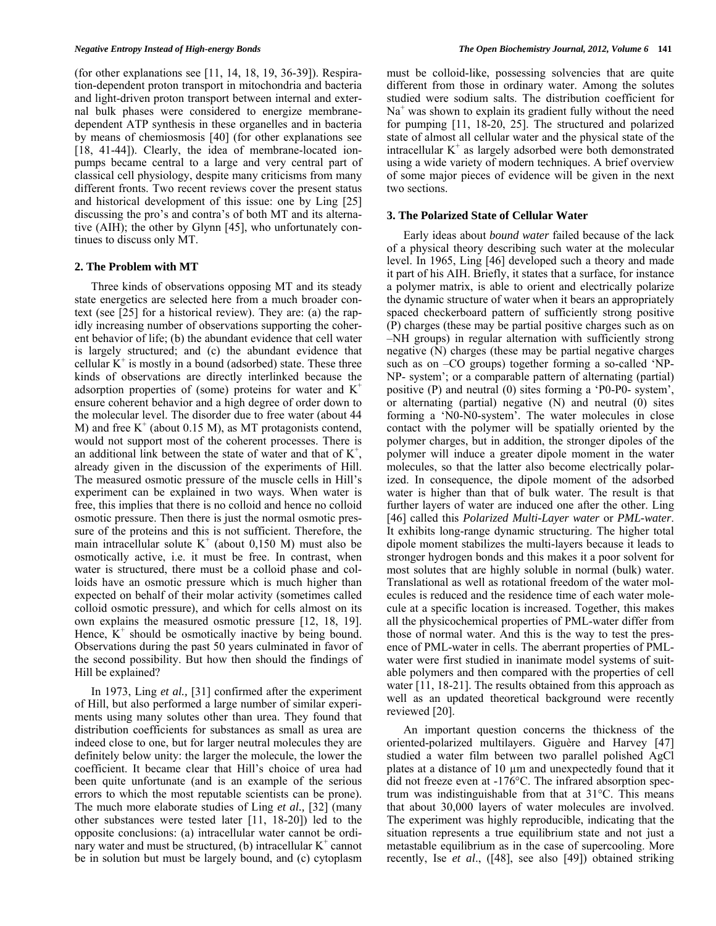(for other explanations see [11, 14, 18, 19, 36-39]). Respiration-dependent proton transport in mitochondria and bacteria and light-driven proton transport between internal and external bulk phases were considered to energize membranedependent ATP synthesis in these organelles and in bacteria by means of chemiosmosis [40] (for other explanations see [18, 41-44]). Clearly, the idea of membrane-located ionpumps became central to a large and very central part of classical cell physiology, despite many criticisms from many different fronts. Two recent reviews cover the present status and historical development of this issue: one by Ling [25] discussing the pro's and contra's of both MT and its alternative (AIH); the other by Glynn [45], who unfortunately continues to discuss only MT.

#### **2. The Problem with MT**

 Three kinds of observations opposing MT and its steady state energetics are selected here from a much broader context (see [25] for a historical review). They are: (a) the rapidly increasing number of observations supporting the coherent behavior of life; (b) the abundant evidence that cell water is largely structured; and (c) the abundant evidence that cellular  $K^+$  is mostly in a bound (adsorbed) state. These three kinds of observations are directly interlinked because the adsorption properties of (some) proteins for water and  $K^+$ ensure coherent behavior and a high degree of order down to the molecular level. The disorder due to free water (about 44 M) and free  $K^+$  (about 0.15 M), as MT protagonists contend, would not support most of the coherent processes. There is an additional link between the state of water and that of  $K^+$ , already given in the discussion of the experiments of Hill. The measured osmotic pressure of the muscle cells in Hill's experiment can be explained in two ways. When water is free, this implies that there is no colloid and hence no colloid osmotic pressure. Then there is just the normal osmotic pressure of the proteins and this is not sufficient. Therefore, the main intracellular solute  $K^+$  (about 0,150 M) must also be osmotically active, i.e. it must be free. In contrast, when water is structured, there must be a colloid phase and colloids have an osmotic pressure which is much higher than expected on behalf of their molar activity (sometimes called colloid osmotic pressure), and which for cells almost on its own explains the measured osmotic pressure [12, 18, 19]. Hence,  $K^+$  should be osmotically inactive by being bound. Observations during the past 50 years culminated in favor of the second possibility. But how then should the findings of Hill be explained?

 In 1973, Ling *et al.,* [31] confirmed after the experiment of Hill, but also performed a large number of similar experiments using many solutes other than urea. They found that distribution coefficients for substances as small as urea are indeed close to one, but for larger neutral molecules they are definitely below unity: the larger the molecule, the lower the coefficient. It became clear that Hill's choice of urea had been quite unfortunate (and is an example of the serious errors to which the most reputable scientists can be prone). The much more elaborate studies of Ling *et al.,* [32] (many other substances were tested later [11, 18-20]) led to the opposite conclusions: (a) intracellular water cannot be ordihary water and must be structured, (b) intracellular  $K^+$  cannot be in solution but must be largely bound, and (c) cytoplasm

must be colloid-like, possessing solvencies that are quite different from those in ordinary water. Among the solutes studied were sodium salts. The distribution coefficient for Na<sup>+</sup> was shown to explain its gradient fully without the need for pumping [11, 18-20, 25]. The structured and polarized state of almost all cellular water and the physical state of the intracellular  $K^+$  as largely adsorbed were both demonstrated using a wide variety of modern techniques. A brief overview of some major pieces of evidence will be given in the next two sections.

#### **3. The Polarized State of Cellular Water**

 Early ideas about *bound water* failed because of the lack of a physical theory describing such water at the molecular level. In 1965, Ling [46] developed such a theory and made it part of his AIH. Briefly, it states that a surface, for instance a polymer matrix, is able to orient and electrically polarize the dynamic structure of water when it bears an appropriately spaced checkerboard pattern of sufficiently strong positive (P) charges (these may be partial positive charges such as on –NH groups) in regular alternation with sufficiently strong negative (N) charges (these may be partial negative charges such as on –CO groups) together forming a so-called 'NP-NP- system'; or a comparable pattern of alternating (partial) positive (P) and neutral (0) sites forming a 'P0-P0- system', or alternating (partial) negative (N) and neutral (0) sites forming a 'N0-N0-system'. The water molecules in close contact with the polymer will be spatially oriented by the polymer charges, but in addition, the stronger dipoles of the polymer will induce a greater dipole moment in the water molecules, so that the latter also become electrically polarized. In consequence, the dipole moment of the adsorbed water is higher than that of bulk water. The result is that further layers of water are induced one after the other. Ling [46] called this *Polarized Multi-Layer water* or *PML-water*. It exhibits long-range dynamic structuring. The higher total dipole moment stabilizes the multi-layers because it leads to stronger hydrogen bonds and this makes it a poor solvent for most solutes that are highly soluble in normal (bulk) water. Translational as well as rotational freedom of the water molecules is reduced and the residence time of each water molecule at a specific location is increased. Together, this makes all the physicochemical properties of PML-water differ from those of normal water. And this is the way to test the presence of PML-water in cells. The aberrant properties of PMLwater were first studied in inanimate model systems of suitable polymers and then compared with the properties of cell water [11, 18-21]. The results obtained from this approach as well as an updated theoretical background were recently reviewed [20].

 An important question concerns the thickness of the oriented-polarized multilayers. Giguère and Harvey [47] studied a water film between two parallel polished AgCl plates at a distance of 10  $\mu$ m and unexpectedly found that it did not freeze even at -176°C. The infrared absorption spectrum was indistinguishable from that at 31°C. This means that about 30,000 layers of water molecules are involved. The experiment was highly reproducible, indicating that the situation represents a true equilibrium state and not just a metastable equilibrium as in the case of supercooling. More recently, Ise *et al*., ([48], see also [49]) obtained striking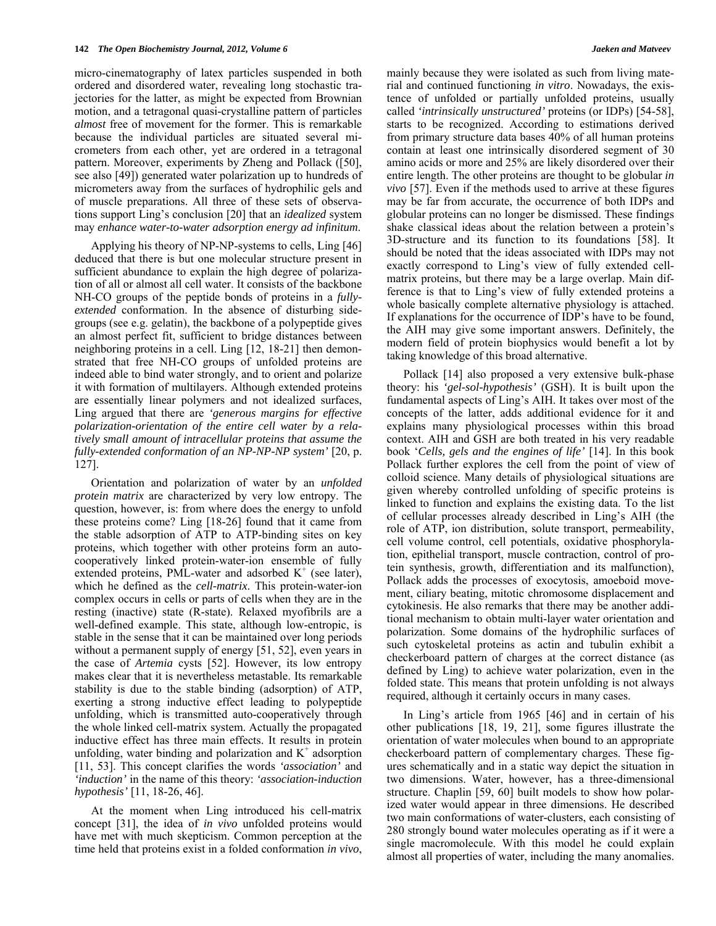micro-cinematography of latex particles suspended in both ordered and disordered water, revealing long stochastic trajectories for the latter, as might be expected from Brownian motion, and a tetragonal quasi-crystalline pattern of particles *almost* free of movement for the former. This is remarkable because the individual particles are situated several micrometers from each other, yet are ordered in a tetragonal pattern. Moreover, experiments by Zheng and Pollack ([50], see also [49]) generated water polarization up to hundreds of micrometers away from the surfaces of hydrophilic gels and of muscle preparations. All three of these sets of observations support Ling's conclusion [20] that an *idealized* system may *enhance water-to-water adsorption energy ad infinitum*.

 Applying his theory of NP-NP-systems to cells, Ling [46] deduced that there is but one molecular structure present in sufficient abundance to explain the high degree of polarization of all or almost all cell water. It consists of the backbone NH-CO groups of the peptide bonds of proteins in a *fullyextended* conformation. In the absence of disturbing sidegroups (see e.g. gelatin), the backbone of a polypeptide gives an almost perfect fit, sufficient to bridge distances between neighboring proteins in a cell. Ling [12, 18-21] then demonstrated that free NH-CO groups of unfolded proteins are indeed able to bind water strongly, and to orient and polarize it with formation of multilayers. Although extended proteins are essentially linear polymers and not idealized surfaces, Ling argued that there are *'generous margins for effective polarization-orientation of the entire cell water by a relatively small amount of intracellular proteins that assume the fully-extended conformation of an NP-NP-NP system'* [20, p. 127].

 Orientation and polarization of water by an *unfolded protein matrix* are characterized by very low entropy. The question, however, is: from where does the energy to unfold these proteins come? Ling [18-26] found that it came from the stable adsorption of ATP to ATP-binding sites on key proteins, which together with other proteins form an autocooperatively linked protein-water-ion ensemble of fully extended proteins, PML-water and adsorbed  $K^+$  (see later), which he defined as the *cell-matrix*. This protein-water-ion complex occurs in cells or parts of cells when they are in the resting (inactive) state (R-state). Relaxed myofibrils are a well-defined example. This state, although low-entropic, is stable in the sense that it can be maintained over long periods without a permanent supply of energy [51, 52], even years in the case of *Artemia* cysts [52]. However, its low entropy makes clear that it is nevertheless metastable. Its remarkable stability is due to the stable binding (adsorption) of ATP, exerting a strong inductive effect leading to polypeptide unfolding, which is transmitted auto-cooperatively through the whole linked cell-matrix system. Actually the propagated inductive effect has three main effects. It results in protein unfolding, water binding and polarization and  $K^+$  adsorption [11, 53]. This concept clarifies the words *'association'* and *'induction'* in the name of this theory: *'association-induction hypothesis'* [11, 18-26, 46].

 At the moment when Ling introduced his cell-matrix concept [31], the idea of *in vivo* unfolded proteins would have met with much skepticism. Common perception at the time held that proteins exist in a folded conformation *in vivo*, mainly because they were isolated as such from living material and continued functioning *in vitro*. Nowadays, the existence of unfolded or partially unfolded proteins, usually called *'intrinsically unstructured'* proteins (or IDPs) [54-58], starts to be recognized. According to estimations derived from primary structure data bases 40% of all human proteins contain at least one intrinsically disordered segment of 30 amino acids or more and 25% are likely disordered over their entire length. The other proteins are thought to be globular *in vivo* [57]. Even if the methods used to arrive at these figures may be far from accurate, the occurrence of both IDPs and globular proteins can no longer be dismissed. These findings shake classical ideas about the relation between a protein's 3D-structure and its function to its foundations [58]. It should be noted that the ideas associated with IDPs may not exactly correspond to Ling's view of fully extended cellmatrix proteins, but there may be a large overlap. Main difference is that to Ling's view of fully extended proteins a whole basically complete alternative physiology is attached. If explanations for the occurrence of IDP's have to be found, the AIH may give some important answers. Definitely, the modern field of protein biophysics would benefit a lot by taking knowledge of this broad alternative.

 Pollack [14] also proposed a very extensive bulk-phase theory: his *'gel-sol-hypothesis'* (GSH). It is built upon the fundamental aspects of Ling's AIH. It takes over most of the concepts of the latter, adds additional evidence for it and explains many physiological processes within this broad context. AIH and GSH are both treated in his very readable book '*Cells, gels and the engines of life'* [14]. In this book Pollack further explores the cell from the point of view of colloid science. Many details of physiological situations are given whereby controlled unfolding of specific proteins is linked to function and explains the existing data. To the list of cellular processes already described in Ling's AIH (the role of ATP, ion distribution, solute transport, permeability, cell volume control, cell potentials, oxidative phosphorylation, epithelial transport, muscle contraction, control of protein synthesis, growth, differentiation and its malfunction), Pollack adds the processes of exocytosis, amoeboid movement, ciliary beating, mitotic chromosome displacement and cytokinesis. He also remarks that there may be another additional mechanism to obtain multi-layer water orientation and polarization. Some domains of the hydrophilic surfaces of such cytoskeletal proteins as actin and tubulin exhibit a checkerboard pattern of charges at the correct distance (as defined by Ling) to achieve water polarization, even in the folded state. This means that protein unfolding is not always required, although it certainly occurs in many cases.

 In Ling's article from 1965 [46] and in certain of his other publications [18, 19, 21], some figures illustrate the orientation of water molecules when bound to an appropriate checkerboard pattern of complementary charges. These figures schematically and in a static way depict the situation in two dimensions. Water, however, has a three-dimensional structure. Chaplin [59, 60] built models to show how polarized water would appear in three dimensions. He described two main conformations of water-clusters, each consisting of 280 strongly bound water molecules operating as if it were a single macromolecule. With this model he could explain almost all properties of water, including the many anomalies.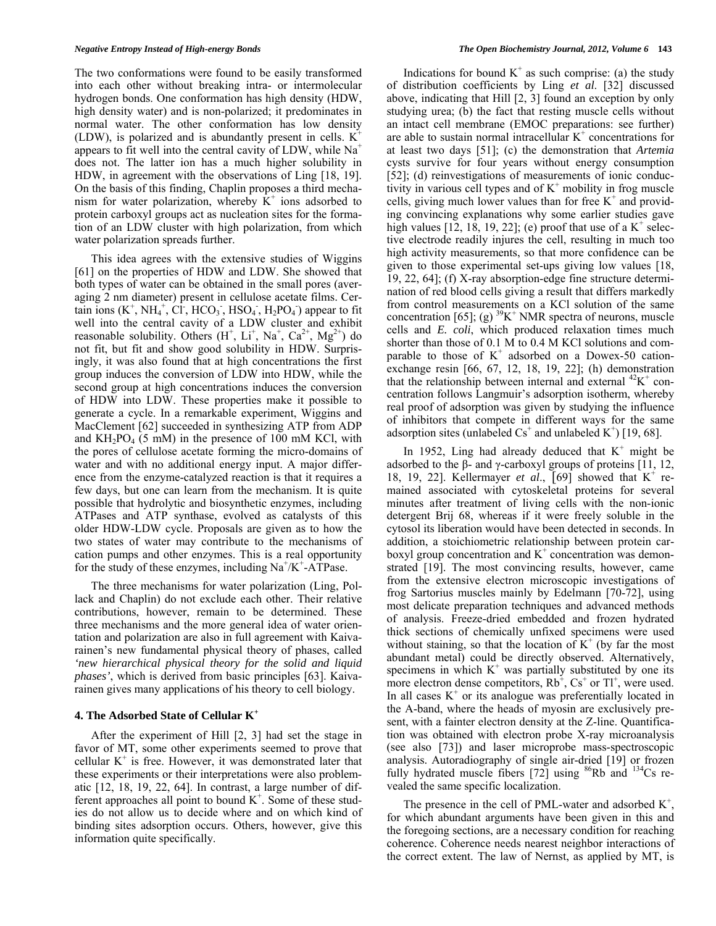The two conformations were found to be easily transformed into each other without breaking intra- or intermolecular hydrogen bonds. One conformation has high density (HDW, high density water) and is non-polarized; it predominates in normal water. The other conformation has low density (LDW), is polarized and is abundantly present in cells.  $K^+$ appears to fit well into the central cavity of LDW, while  $Na<sup>+</sup>$ does not. The latter ion has a much higher solubility in HDW, in agreement with the observations of Ling [18, 19]. On the basis of this finding, Chaplin proposes a third mechanism for water polarization, whereby  $\dot{K}^+$  ions adsorbed to protein carboxyl groups act as nucleation sites for the formation of an LDW cluster with high polarization, from which water polarization spreads further.

 This idea agrees with the extensive studies of Wiggins [61] on the properties of HDW and LDW. She showed that both types of water can be obtained in the small pores (averaging 2 nm diameter) present in cellulose acetate films. Certain ions  $(K^+, NH_4^+, CI^-, HCO_3^-, HSO_4^-, H_2PO_4)$  appear to fit well into the central cavity of a LDW cluster and exhibit reasonable solubility. Others  $(H^+, Li^+, Na^+, Ca^{2+}, Mg^{2+})$  do not fit, but fit and show good solubility in HDW. Surprisingly, it was also found that at high concentrations the first group induces the conversion of LDW into HDW, while the second group at high concentrations induces the conversion of HDW into LDW. These properties make it possible to generate a cycle. In a remarkable experiment, Wiggins and MacClement [62] succeeded in synthesizing ATP from ADP and  $KH_2PO_4$  (5 mM) in the presence of 100 mM KCl, with the pores of cellulose acetate forming the micro-domains of water and with no additional energy input. A major difference from the enzyme-catalyzed reaction is that it requires a few days, but one can learn from the mechanism. It is quite possible that hydrolytic and biosynthetic enzymes, including ATPases and ATP synthase, evolved as catalysts of this older HDW-LDW cycle. Proposals are given as to how the two states of water may contribute to the mechanisms of cation pumps and other enzymes. This is a real opportunity for the study of these enzymes, including  $Na^+/K^+$ -ATPase.

 The three mechanisms for water polarization (Ling, Pollack and Chaplin) do not exclude each other. Their relative contributions, however, remain to be determined. These three mechanisms and the more general idea of water orientation and polarization are also in full agreement with Kaivarainen's new fundamental physical theory of phases, called *'new hierarchical physical theory for the solid and liquid phases'*, which is derived from basic principles [63]. Kaivarainen gives many applications of his theory to cell biology.

#### **4. The Adsorbed State of Cellular K+**

 After the experiment of Hill [2, 3] had set the stage in favor of MT, some other experiments seemed to prove that cellular  $K^+$  is free. However, it was demonstrated later that these experiments or their interpretations were also problematic [12, 18, 19, 22, 64]. In contrast, a large number of different approaches all point to bound  $K^+$ . Some of these studies do not allow us to decide where and on which kind of binding sites adsorption occurs. Others, however, give this information quite specifically.

Indications for bound  $K^+$  as such comprise: (a) the study of distribution coefficients by Ling *et al*. [32] discussed above, indicating that Hill [2, 3] found an exception by only studying urea; (b) the fact that resting muscle cells without an intact cell membrane (EMOC preparations: see further) are able to sustain normal intracellular  $K^+$  concentrations for at least two days [51]; (c) the demonstration that *Artemia* cysts survive for four years without energy consumption [52]; (d) reinvestigations of measurements of ionic conductivity in various cell types and of  $K^+$  mobility in frog muscle cells, giving much lower values than for free  $K^+$  and providing convincing explanations why some earlier studies gave high values  $[12, 18, 19, 22]$ ; (e) proof that use of a  $K^+$  selective electrode readily injures the cell, resulting in much too high activity measurements, so that more confidence can be given to those experimental set-ups giving low values [18, 19, 22, 64]; (f) X-ray absorption-edge fine structure determination of red blood cells giving a result that differs markedly from control measurements on a KCl solution of the same concentration [65]; (g)  ${}^{39}K^+$  NMR spectra of neurons, muscle cells and *E. coli*, which produced relaxation times much shorter than those of 0.1 M to 0.4 M KCl solutions and comparable to those of  $K^+$  adsorbed on a Dowex-50 cationexchange resin [66, 67, 12, 18, 19, 22]; (h) demonstration that the relationship between internal and external  $^{42}K^+$  concentration follows Langmuir's adsorption isotherm, whereby real proof of adsorption was given by studying the influence of inhibitors that compete in different ways for the same adsorption sites (unlabeled  $Cs^+$  and unlabeled  $K^+$ ) [19, 68].

In 1952, Ling had already deduced that  $K^+$  might be adsorbed to the  $\beta$ - and  $\gamma$ -carboxyl groups of proteins [11, 12, 18, 19, 22]. Kellermayer *et al.*, [69] showed that  $K^+$  remained associated with cytoskeletal proteins for several minutes after treatment of living cells with the non-ionic detergent Brij 68, whereas if it were freely soluble in the cytosol its liberation would have been detected in seconds. In addition, a stoichiometric relationship between protein carboxyl group concentration and  $K^+$  concentration was demonstrated [19]. The most convincing results, however, came from the extensive electron microscopic investigations of frog Sartorius muscles mainly by Edelmann [70-72], using most delicate preparation techniques and advanced methods of analysis. Freeze-dried embedded and frozen hydrated thick sections of chemically unfixed specimens were used without staining, so that the location of  $K^+$  (by far the most abundant metal) could be directly observed. Alternatively, specimens in which  $K^+$  was partially substituted by one its more electron dense competitors,  $Rb^{\dagger}$ ,  $Cs^{\dagger}$  or  $TI^{\dagger}$ , were used. In all cases  $K^+$  or its analogue was preferentially located in the A-band, where the heads of myosin are exclusively present, with a fainter electron density at the Z-line. Quantification was obtained with electron probe X-ray microanalysis (see also [73]) and laser microprobe mass-spectroscopic analysis. Autoradiography of single air-dried [19] or frozen fully hydrated muscle fibers  $[72]$  using <sup>86</sup>Rb and <sup>134</sup>Cs revealed the same specific localization.

The presence in the cell of PML-water and adsorbed  $K^+$ , for which abundant arguments have been given in this and the foregoing sections, are a necessary condition for reaching coherence. Coherence needs nearest neighbor interactions of the correct extent. The law of Nernst, as applied by MT, is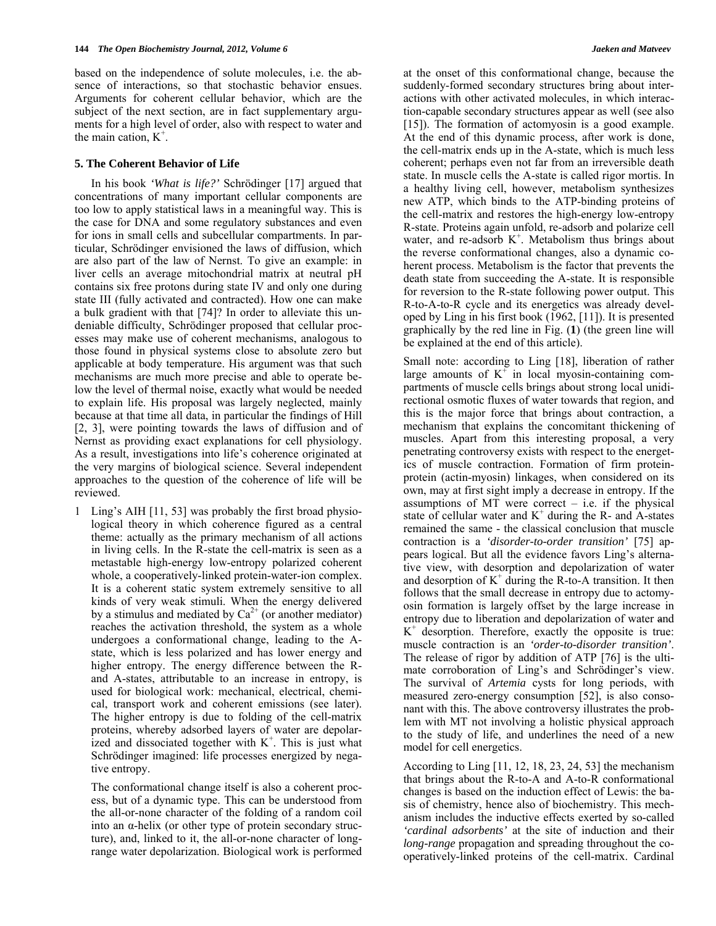based on the independence of solute molecules, i.e. the absence of interactions, so that stochastic behavior ensues. Arguments for coherent cellular behavior, which are the subject of the next section, are in fact supplementary arguments for a high level of order, also with respect to water and the main cation,  $K^+$ .

#### **5. The Coherent Behavior of Life**

 In his book *'What is life?'* Schrödinger [17] argued that concentrations of many important cellular components are too low to apply statistical laws in a meaningful way. This is the case for DNA and some regulatory substances and even for ions in small cells and subcellular compartments. In particular, Schrödinger envisioned the laws of diffusion, which are also part of the law of Nernst. To give an example: in liver cells an average mitochondrial matrix at neutral pH contains six free protons during state IV and only one during state III (fully activated and contracted). How one can make a bulk gradient with that [74]? In order to alleviate this undeniable difficulty, Schrödinger proposed that cellular processes may make use of coherent mechanisms, analogous to those found in physical systems close to absolute zero but applicable at body temperature. His argument was that such mechanisms are much more precise and able to operate below the level of thermal noise, exactly what would be needed to explain life. His proposal was largely neglected, mainly because at that time all data, in particular the findings of Hill [2, 3], were pointing towards the laws of diffusion and of Nernst as providing exact explanations for cell physiology. As a result, investigations into life's coherence originated at the very margins of biological science. Several independent approaches to the question of the coherence of life will be reviewed.

1 Ling's AIH [11, 53] was probably the first broad physiological theory in which coherence figured as a central theme: actually as the primary mechanism of all actions in living cells. In the R-state the cell-matrix is seen as a metastable high-energy low-entropy polarized coherent whole, a cooperatively-linked protein-water-ion complex. It is a coherent static system extremely sensitive to all kinds of very weak stimuli. When the energy delivered by a stimulus and mediated by  $Ca^{2+}$  (or another mediator) reaches the activation threshold, the system as a whole undergoes a conformational change, leading to the Astate, which is less polarized and has lower energy and higher entropy. The energy difference between the Rand A-states, attributable to an increase in entropy, is used for biological work: mechanical, electrical, chemical, transport work and coherent emissions (see later). The higher entropy is due to folding of the cell-matrix proteins, whereby adsorbed layers of water are depolarized and dissociated together with  $K^+$ . This is just what Schrödinger imagined: life processes energized by negative entropy.

The conformational change itself is also a coherent process, but of a dynamic type. This can be understood from the all-or-none character of the folding of a random coil into an  $\alpha$ -helix (or other type of protein secondary structure), and, linked to it, the all-or-none character of longrange water depolarization. Biological work is performed

at the onset of this conformational change, because the suddenly-formed secondary structures bring about interactions with other activated molecules, in which interaction-capable secondary structures appear as well (see also [15]). The formation of actomyosin is a good example. At the end of this dynamic process, after work is done, the cell-matrix ends up in the A-state, which is much less coherent; perhaps even not far from an irreversible death state. In muscle cells the A-state is called rigor mortis. In a healthy living cell, however, metabolism synthesizes new ATP, which binds to the ATP-binding proteins of the cell-matrix and restores the high-energy low-entropy R-state. Proteins again unfold, re-adsorb and polarize cell water, and re-adsorb  $K^+$ . Metabolism thus brings about the reverse conformational changes, also a dynamic coherent process. Metabolism is the factor that prevents the death state from succeeding the A-state. It is responsible for reversion to the R-state following power output. This R-to-A-to-R cycle and its energetics was already developed by Ling in his first book (1962, [11]). It is presented graphically by the red line in Fig. (**1**) (the green line will be explained at the end of this article).

Small note: according to Ling [18], liberation of rather large amounts of  $K^+$  in local myosin-containing compartments of muscle cells brings about strong local unidirectional osmotic fluxes of water towards that region, and this is the major force that brings about contraction, a mechanism that explains the concomitant thickening of muscles. Apart from this interesting proposal, a very penetrating controversy exists with respect to the energetics of muscle contraction. Formation of firm proteinprotein (actin-myosin) linkages, when considered on its own, may at first sight imply a decrease in entropy. If the assumptions of MT were correct  $-$  i.e. if the physical state of cellular water and  $K^+$  during the R- and A-states remained the same - the classical conclusion that muscle contraction is a *'disorder-to-order transition'* [75] appears logical. But all the evidence favors Ling's alternative view, with desorption and depolarization of water and desorption of  $K^+$  during the R-to-A transition. It then follows that the small decrease in entropy due to actomyosin formation is largely offset by the large increase in entropy due to liberation and depolarization of water and  $K^+$  desorption. Therefore, exactly the opposite is true: muscle contraction is an *'order-to-disorder transition'*. The release of rigor by addition of ATP [76] is the ultimate corroboration of Ling's and Schrödinger's view. The survival of *Artemia* cysts for long periods, with measured zero-energy consumption [52], is also consonant with this. The above controversy illustrates the problem with MT not involving a holistic physical approach to the study of life, and underlines the need of a new model for cell energetics.

According to Ling [11, 12, 18, 23, 24, 53] the mechanism that brings about the R-to-A and A-to-R conformational changes is based on the induction effect of Lewis: the basis of chemistry, hence also of biochemistry. This mechanism includes the inductive effects exerted by so-called *'cardinal adsorbents'* at the site of induction and their *long-range* propagation and spreading throughout the cooperatively-linked proteins of the cell-matrix. Cardinal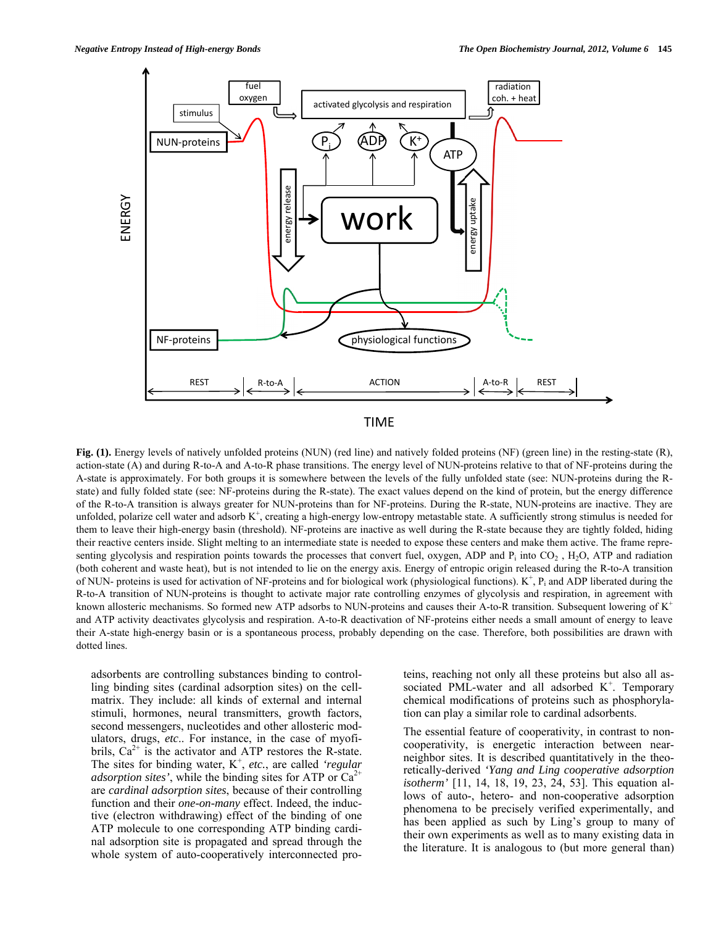

#### TIME

Fig. (1). Ene<br>
action-state (<br>
A-state is ap<br>
state) and ful<br>
of the R-to- $\mu$ <br>
unfolded, pol<br>
them to leav<br>
their reactive<br>
senting glyce<br>
(both cohere<br>
R-to-A trans<br>
known allost<br>
and ATP act<br>
their A-state<br>
dotted line **Fig. (1).** Energy levels of natively unfolded proteins (NUN) (red line) and natively folded proteins (NF) (green line) in the resting-state (R), action-state (A) and during R-to-A and A-to-R phase transitions. The energy level of NUN-proteins relative to that of NF-proteins during the A-state is approximately. For both groups it is somewhere between the levels of the fully unfolded state (see: NUN-proteins during the Rstate) and fully folded state (see: NF-proteins during the R-state). The exact values depend on the kind of protein, but the energy difference of the R-to-A transition is always greater for NUN-proteins than for NF-proteins. During the R-state, NUN-proteins are inactive. They are unfolded, polarize cell water and adsorb  $K^+$ , creating a high-energy low-entropy metastable state. A sufficiently strong stimulus is needed for them to leave their high-energy basin (threshold). NF-proteins are inactive as well during the R-state because they are tightly folded, hiding their reactive centers inside. Slight melting to an intermediate state is needed to expose these centers and make them active. The frame representing glycolysis and respiration points towards the processes that convert fuel, oxygen, ADP and  $P_i$  into  $CO_2$ , H<sub>2</sub>O, ATP and radiation (both coherent and waste heat), but is not intended to lie on the energy axis. Energy of entropic origin released during the R-to-A transition of NUN- proteins is used for activation of NF-proteins and for biological work (physiological functions).  $K^+$ ,  $P_i$  and ADP liberated during the R-to-A transition of NUN-proteins is thought to activate major rate controlling enzymes of glycolysis and respiration, in agreement with known allosteric mechanisms. So formed new ATP adsorbs to NUN-proteins and causes their A-to-R transition. Subsequent lowering of  $K^+$ and ATP activity deactivates glycolysis and respiration. A-to-R deactivation of NF-proteins either needs a small amount of energy to leave their A-state high-energy basin or is a spontaneous process, probably depending on the case. Therefore, both possibilities are drawn with dotted lines.

adsorbents are controlling substances binding to controlling binding sites (cardinal adsorption sites) on the cellmatrix. They include: all kinds of external and internal stimuli, hormones, neural transmitters, growth factors, second messengers, nucleotides and other allosteric modulators, drugs, *etc*.. For instance, in the case of myofibrils,  $Ca^{2+}$  is the activator and ATP restores the R-state. The sites for binding water, K<sup>+</sup>, etc., are called 'regular' *adsorption sites'*, while the binding sites for ATP or  $Ca^{2+}$ are *cardinal adsorption sites*, because of their controlling function and their *one-on-many* effect. Indeed, the inductive (electron withdrawing) effect of the binding of one ATP molecule to one corresponding ATP binding cardinal adsorption site is propagated and spread through the whole system of auto-cooperatively interconnected proteins, reaching not only all these proteins but also all associated PML-water and all adsorbed  $K^+$ . Temporary chemical modifications of proteins such as phosphorylation can play a similar role to cardinal adsorbents.

The essential feature of cooperativity, in contrast to noncooperativity, is energetic interaction between nearneighbor sites. It is described quantitatively in the theoretically-derived *'Yang and Ling cooperative adsorption isotherm'* [11, 14, 18, 19, 23, 24, 53]. This equation allows of auto-, hetero- and non-cooperative adsorption phenomena to be precisely verified experimentally, and has been applied as such by Ling's group to many of their own experiments as well as to many existing data in the literature. It is analogous to (but more general than)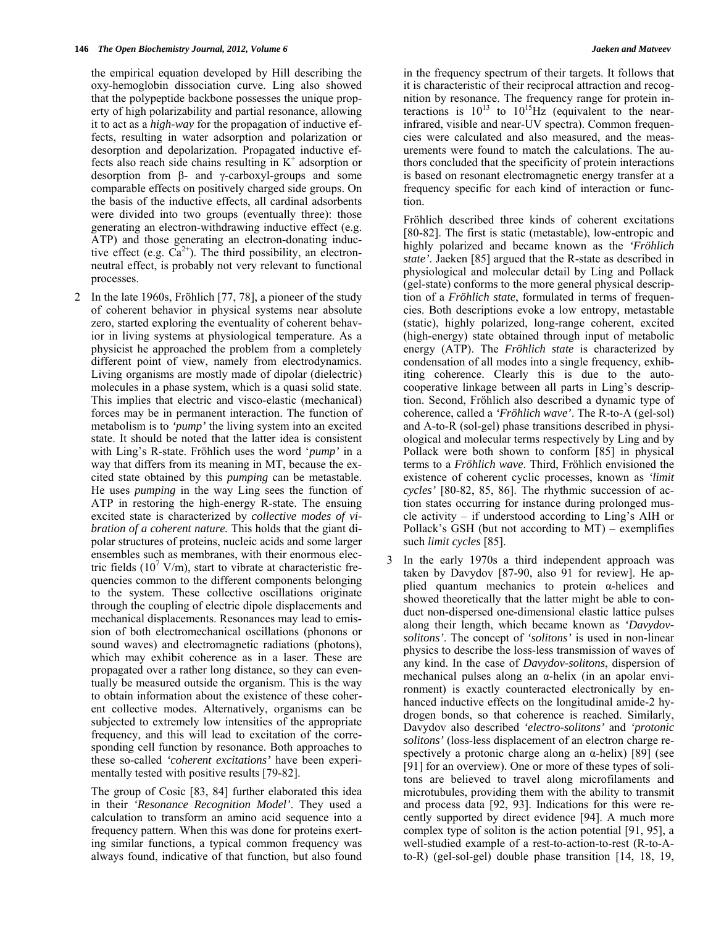the empirical equation developed by Hill describing the oxy-hemoglobin dissociation curve. Ling also showed that the polypeptide backbone possesses the unique property of high polarizability and partial resonance, allowing it to act as a *high-way* for the propagation of inductive effects, resulting in water adsorption and polarization or desorption and depolarization. Propagated inductive effects also reach side chains resulting in  $K^+$  adsorption or desorption from β- and γ-carboxyl-groups and some comparable effects on positively charged side groups. On the basis of the inductive effects, all cardinal adsorbents were divided into two groups (eventually three): those generating an electron-withdrawing inductive effect (e.g. ATP) and those generating an electron-donating inductive effect (e.g.  $Ca^{2+}$ ). The third possibility, an electronneutral effect, is probably not very relevant to functional processes.

2 In the late 1960s, Fröhlich [77, 78], a pioneer of the study these so-called 'coherent excitations' have been experiof coherent behavior in physical systems near absolute zero, started exploring the eventuality of coherent behavior in living systems at physiological temperature. As a physicist he approached the problem from a completely different point of view, namely from electrodynamics. Living organisms are mostly made of dipolar (dielectric) molecules in a phase system, which is a quasi solid state. This implies that electric and visco-elastic (mechanical) forces may be in permanent interaction. The function of metabolism is to *'pump'* the living system into an excited state. It should be noted that the latter idea is consistent with Ling's R-state. Fröhlich uses the word '*pump'* in a way that differs from its meaning in MT, because the excited state obtained by this *pumping* can be metastable. He uses *pumping* in the way Ling sees the function of ATP in restoring the high-energy R-state. The ensuing excited state is characterized by *collective modes of vibration of a coherent nature.* This holds that the giant dipolar structures of proteins, nucleic acids and some larger ensembles such as membranes, with their enormous electric fields  $(10^7 \text{ V/m})$ , start to vibrate at characteristic frequencies common to the different components belonging to the system. These collective oscillations originate through the coupling of electric dipole displacements and mechanical displacements. Resonances may lead to emission of both electromechanical oscillations (phonons or sound waves) and electromagnetic radiations (photons), which may exhibit coherence as in a laser. These are propagated over a rather long distance, so they can eventually be measured outside the organism. This is the way to obtain information about the existence of these coherent collective modes. Alternatively, organisms can be subjected to extremely low intensities of the appropriate frequency, and this will lead to excitation of the corresponding cell function by resonance. Both approaches to mentally tested with positive results [79-82].

The group of Cosic [83, 84] further elaborated this idea in their *'Resonance Recognition Model'*. They used a calculation to transform an amino acid sequence into a frequency pattern. When this was done for proteins exerting similar functions, a typical common frequency was always found, indicative of that function, but also found

frequency specific for each kind of interaction or funcin the frequency spectrum of their targets. It follows that it is characteristic of their reciprocal attraction and recognition by resonance. The frequency range for protein interactions is  $10^{13}$  to  $10^{15}$ Hz (equivalent to the nearinfrared, visible and near-UV spectra). Common frequencies were calculated and also measured, and the measurements were found to match the calculations. The authors concluded that the specificity of protein interactions is based on resonant electromagnetic energy transfer at a tion.

Pollack's GSH (but not according to  $MT$ ) – exemplifies Fröhlich described three kinds of coherent excitations [80-82]. The first is static (metastable), low-entropic and highly polarized and became known as the *'Fröhlich state'*. Jaeken [85] argued that the R-state as described in physiological and molecular detail by Ling and Pollack (gel-state) conforms to the more general physical description of a *Fröhlich state*, formulated in terms of frequencies. Both descriptions evoke a low entropy, metastable (static), highly polarized, long-range coherent, excited (high-energy) state obtained through input of metabolic energy (ATP). The *Fröhlich state* is characterized by condensation of all modes into a single frequency, exhibiting coherence. Clearly this is due to the autocooperative linkage between all parts in Ling's description. Second, Fröhlich also described a dynamic type of coherence, called a *'Fröhlich wave'*. The R-to-A (gel-sol) and A-to-R (sol-gel) phase transitions described in physiological and molecular terms respectively by Ling and by Pollack were both shown to conform [85] in physical terms to a *Fröhlich wave*. Third, Fröhlich envisioned the existence of coherent cyclic processes, known as *'limit cycles'* [80-82, 85, 86]. The rhythmic succession of action states occurring for instance during prolonged muscle activity – if understood according to Ling's AIH or such *limit cycles* [85].

3 In the early 1970s a third independent approach was taken by Davydov [87-90, also 91 for review]. He applied quantum mechanics to protein  $\alpha$ -helices and showed theoretically that the latter might be able to conduct non-dispersed one-dimensional elastic lattice pulses along their length, which became known as *'Davydovsolitons'*. The concept of *'solitons'* is used in non-linear physics to describe the loss-less transmission of waves of any kind. In the case of *Davydov-solitons*, dispersion of mechanical pulses along an  $\alpha$ -helix (in an apolar environment) is exactly counteracted electronically by enhanced inductive effects on the longitudinal amide-2 hydrogen bonds, so that coherence is reached. Similarly, Davydov also described *'electro-solitons'* and *'protonic solitons'* (loss-less displacement of an electron charge respectively a protonic charge along an  $\alpha$ -helix) [89] (see [91] for an overview). One or more of these types of solitons are believed to travel along microfilaments and microtubules, providing them with the ability to transmit and process data [92, 93]. Indications for this were recently supported by direct evidence [94]. A much more complex type of soliton is the action potential [91, 95], a well-studied example of a rest-to-action-to-rest (R-to-Ato-R) (gel-sol-gel) double phase transition [14, 18, 19,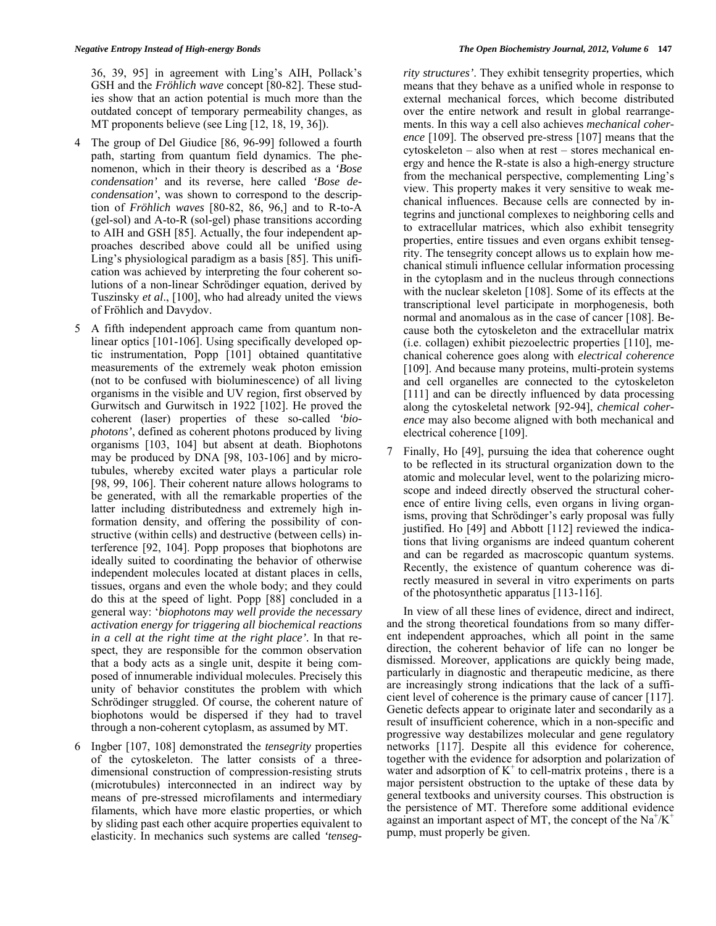36, 39, 95] in agreement with Ling's AIH, Pollack's GSH and the *Fröhlich wave* concept [80-82]. These studies show that an action potential is much more than the outdated concept of temporary permeability changes, as MT proponents believe (see Ling [12, 18, 19, 36]).

- 4 The group of Del Giudice [86, 96-99] followed a fourth Tuszinsky *et al.*, [100], who had already united the views path, starting from quantum field dynamics. The phenomenon, which in their theory is described as a *'Bose condensation'* and its reverse, here called *'Bose decondensation'*, was shown to correspond to the description of *Fröhlich waves* [80-82, 86, 96,] and to R-to-A (gel-sol) and A-to-R (sol-gel) phase transitions according to AIH and GSH [85]. Actually, the four independent approaches described above could all be unified using Ling's physiological paradigm as a basis [85]. This unification was achieved by interpreting the four coherent solutions of a non-linear Schrödinger equation, derived by of Fröhlich and Davydov.
- 5 A fifth independent approach came from quantum nonbiophotons would be dispersed if they had to travel linear optics [101-106]. Using specifically developed optic instrumentation, Popp [101] obtained quantitative measurements of the extremely weak photon emission (not to be confused with bioluminescence) of all living organisms in the visible and UV region, first observed by Gurwitsch and Gurwitsch in 1922 [102]. He proved the coherent (laser) properties of these so-called *'biophotons'*, defined as coherent photons produced by living organisms [103, 104] but absent at death. Biophotons may be produced by DNA [98, 103-106] and by microtubules, whereby excited water plays a particular role [98, 99, 106]. Their coherent nature allows holograms to be generated, with all the remarkable properties of the latter including distributedness and extremely high information density, and offering the possibility of constructive (within cells) and destructive (between cells) interference [92, 104]. Popp proposes that biophotons are ideally suited to coordinating the behavior of otherwise independent molecules located at distant places in cells, tissues, organs and even the whole body; and they could do this at the speed of light. Popp [88] concluded in a general way: '*biophotons may well provide the necessary activation energy for triggering all biochemical reactions in a cell at the right time at the right place'.* In that respect, they are responsible for the common observation that a body acts as a single unit, despite it being composed of innumerable individual molecules. Precisely this unity of behavior constitutes the problem with which Schrödinger struggled. Of course, the coherent nature of through a non-coherent cytoplasm, as assumed by MT.
- 6 Ingber [107, 108] demonstrated the *tensegrity* properties lasticity. In mechanics such systems are called *'tenseg-*e of the cytoskeleton. The latter consists of a threedimensional construction of compression-resisting struts (microtubules) interconnected in an indirect way by means of pre-stressed microfilaments and intermediary filaments, which have more elastic properties, or which by sliding past each other acquire properties equivalent to

 *rity structures'*. They exhibit tensegrity properties, which means that they behave as a unified whole in response to external mechanical forces, which become distributed over the entire network and result in global rearrangements. In this way a cell also achieves *mechanical coherence* [109]. The observed pre-stress [107] means that the cytoskeleton – also when at rest – stores mechanical energy and hence the R-state is also a high-energy structure from the mechanical perspective, complementing Ling's view. This property makes it very sensitive to weak mechanical influences. Because cells are connected by integrins and junctional complexes to neighboring cells and to extracellular matrices, which also exhibit tensegrity properties, entire tissues and even organs exhibit tensegrity. The tensegrity concept allows us to explain how mechanical stimuli influence cellular information processing in the cytoplasm and in the nucleus through connections with the nuclear skeleton [108]. Some of its effects at the transcriptional level participate in morphogenesis, both normal and anomalous as in the case of cancer [108]. Because both the cytoskeleton and the extracellular matrix (i.e. collagen) exhibit piezoelectric properties [110], mechanical coherence goes along with *electrical coherence* [109]. And because many proteins, multi-protein systems and cell organelles are connected to the cytoskeleton [111] and can be directly influenced by data processing along the cytoskeletal network [92-94], *chemical coherence* may also become aligned with both mechanical and electrical coherence [109].

7 Finally, Ho [49], pursuing the idea that coherence ought to be reflected in its structural organization down to the atomic and molecular level, went to the polarizing microscope and indeed directly observed the structural coherence of entire living cells, even organs in living organisms, proving that Schrödinger's early proposal was fully justified. Ho [49] and Abbott [112] reviewed the indications that living organisms are indeed quantum coherent and can be regarded as macroscopic quantum systems. Recently, the existence of quantum coherence was directly measured in several in vitro experiments on parts of the photosynthetic apparatus [113-116].

 In view of all these lines of evidence, direct and indirect, and the strong theoretical foundations from so many different independent approaches, which all point in the same direction, the coherent behavior of life can no longer be dismissed. Moreover, applications are quickly being made, particularly in diagnostic and therapeutic medicine, as there are increasingly strong indications that the lack of a sufficient level of coherence is the primary cause of cancer [117]. Genetic defects appear to originate later and secondarily as a result of insufficient coherence, which in a non-specific and progressive way destabilizes molecular and gene regulatory networks [117]. Despite all this evidence for coherence, together with the evidence for adsorption and polarization of water and adsorption of  $K^+$  to cell-matrix proteins, there is a major persistent obstruction to the uptake of these data by general textbooks and university courses. This obstruction is the persistence of MT. Therefore some additional evidence against an important aspect of MT, the concept of the  $Na^+/K^+$ pump, must properly be given.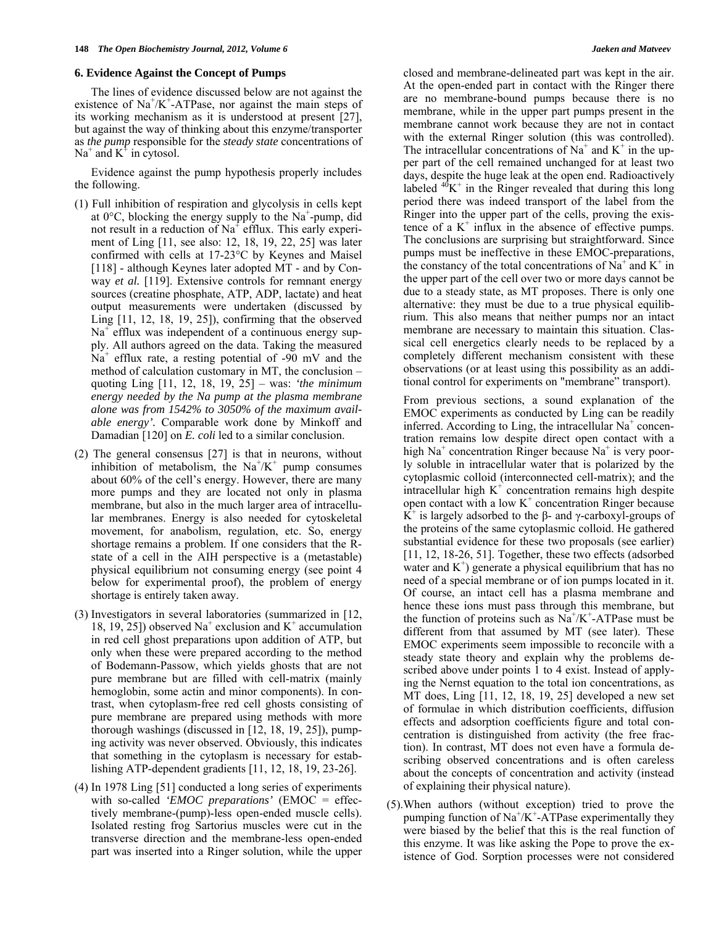#### **6. Evidence Against the Concept of Pumps**

 The lines of evidence discussed below are not against the existence of  $\text{Na}^{\text{+}}/\text{K}^{\text{+}}$ -ATPase, nor against the main steps of its working mechanism as it is understood at present [27], but against the way of thinking about this enzyme/transporter as *the pump* responsible for the *steady state* concentrations of Na<sup>+</sup> and  $K^+$  in cytosol.

 Evidence against the pump hypothesis properly includes the following.

- (1) Full inhibition of respiration and glycolysis in cells kept at  $0^{\circ}$ C, blocking the energy supply to the Na<sup>+</sup>-pump, did not result in a reduction of Na<sup>+</sup> efflux. This early experiment of Ling [11, see also: 12, 18, 19, 22, 25] was later confirmed with cells at 17-23°C by Keynes and Maisel [118] - although Keynes later adopted MT - and by Conway *et al.* [119]. Extensive controls for remnant energy sources (creatine phosphate, ATP, ADP, lactate) and heat output measurements were undertaken (discussed by Ling [11, 12, 18, 19, 25]), confirming that the observed Na<sup>+</sup> efflux was independent of a continuous energy supply. All authors agreed on the data. Taking the measured  $Na<sup>+</sup>$  efflux rate, a resting potential of -90 mV and the method of calculation customary in MT, the conclusion – quoting Ling [11, 12, 18, 19, 25] – was: *'the minimum energy needed by the Na pump at the plasma membrane alone was from 1542% to 3050% of the maximum available energy'.* Comparable work done by Minkoff and Damadian [120] on *E. coli* led to a similar conclusion.
- (2) The general consensus [27] is that in neurons, without inhibition of metabolism, the  $Na^+/K^+$  pump consumes about 60% of the cell's energy. However, there are many more pumps and they are located not only in plasma membrane, but also in the much larger area of intracellular membranes. Energy is also needed for cytoskeletal movement, for anabolism, regulation, etc. So, energy shortage remains a problem. If one considers that the Rstate of a cell in the AIH perspective is a (metastable) physical equilibrium not consuming energy (see point 4 below for experimental proof), the problem of energy shortage is entirely taken away.
- (3) Investigators in several laboratories (summarized in [12, 18, 19, 25]) observed Na<sup>+</sup> exclusion and  $K^+$  accumulation in red cell ghost preparations upon addition of ATP, but only when these were prepared according to the method of Bodemann-Passow, which yields ghosts that are not pure membrane but are filled with cell-matrix (mainly hemoglobin, some actin and minor components). In contrast, when cytoplasm-free red cell ghosts consisting of pure membrane are prepared using methods with more thorough washings (discussed in [12, 18, 19, 25]), pumping activity was never observed. Obviously, this indicates that something in the cytoplasm is necessary for establishing ATP-dependent gradients [11, 12, 18, 19, 23-26].
- (4) In 1978 Ling [51] conducted a long series of experiments with so-called *'EMOC preparations'* (EMOC = effectively membrane-(pump)-less open-ended muscle cells). Isolated resting frog Sartorius muscles were cut in the transverse direction and the membrane-less open-ended part was inserted into a Ringer solution, while the upper

closed and membrane-delineated part was kept in the air. At the open-ended part in contact with the Ringer there are no membrane-bound pumps because there is no membrane, while in the upper part pumps present in the membrane cannot work because they are not in contact with the external Ringer solution (this was controlled). The intracellular concentrations of  $Na^+$  and  $K^+$  in the upper part of the cell remained unchanged for at least two days, despite the huge leak at the open end. Radioactively labeled  $^{40}K^+$  in the Ringer revealed that during this long period there was indeed transport of the label from the Ringer into the upper part of the cells, proving the existence of a  $K^+$  influx in the absence of effective pumps. The conclusions are surprising but straightforward. Since pumps must be ineffective in these EMOC-preparations, the constancy of the total concentrations of  $Na^+$  and  $K^+$  in the upper part of the cell over two or more days cannot be due to a steady state, as MT proposes. There is only one alternative: they must be due to a true physical equilibrium. This also means that neither pumps nor an intact membrane are necessary to maintain this situation. Classical cell energetics clearly needs to be replaced by a completely different mechanism consistent with these observations (or at least using this possibility as an additional control for experiments on "membrane" transport).

 From previous sections, a sound explanation of the EMOC experiments as conducted by Ling can be readily inferred. According to Ling, the intracellular  $Na<sup>+</sup>$  concentration remains low despite direct open contact with a high Na<sup>+</sup> concentration Ringer because Na<sup>+</sup> is very poorly soluble in intracellular water that is polarized by the cytoplasmic colloid (interconnected cell-matrix); and the intracellular high  $K^+$  concentration remains high despite open contact with a low  $K^+$  concentration Ringer because  $\overrightarrow{K}$ <sup>+</sup> is largely adsorbed to the β- and γ-carboxyl-groups of the proteins of the same cytoplasmic colloid. He gathered substantial evidence for these two proposals (see earlier) [11, 12, 18-26, 51]. Together, these two effects (adsorbed water and  $K^+$ ) generate a physical equilibrium that has no need of a special membrane or of ion pumps located in it. Of course, an intact cell has a plasma membrane and hence these ions must pass through this membrane, but the function of proteins such as  $\overline{Na}^+/K^+$ -ATPase must be different from that assumed by MT (see later). These EMOC experiments seem impossible to reconcile with a steady state theory and explain why the problems described above under points 1 to 4 exist. Instead of applying the Nernst equation to the total ion concentrations, as MT does, Ling [11, 12, 18, 19, 25] developed a new set of formulae in which distribution coefficients, diffusion effects and adsorption coefficients figure and total concentration is distinguished from activity (the free fraction). In contrast, MT does not even have a formula describing observed concentrations and is often careless about the concepts of concentration and activity (instead of explaining their physical nature).

(5). When authors (without exception) tried to prove the pumping function of  $Na^+/K^+$ -ATPase experimentally they were biased by the belief that this is the real function of this enzyme. It was like asking the Pope to prove the existence of God. Sorption processes were not considered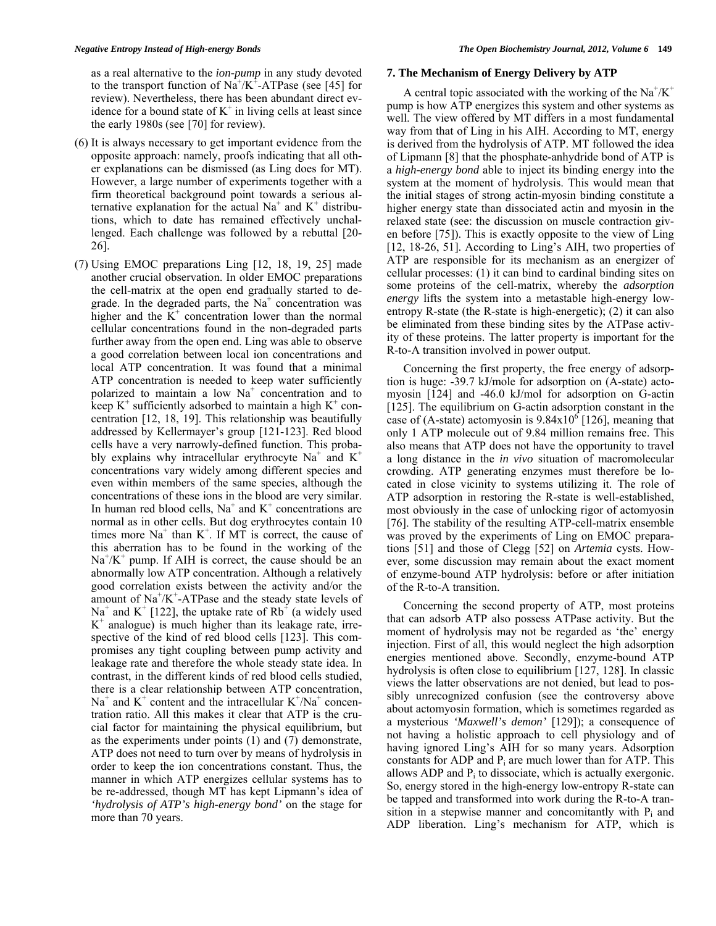as a real alternative to the *ion-pump* in any study devoted to the transport function of  $\text{Na}^{\dagger}/\text{K}^{\dagger}$ -ATPase (see [45] for review). Nevertheless, there has been abundant direct evidence for a bound state of  $K^+$  in living cells at least since the early 1980s (see [70] for review).

- (6) It is always necessary to get important evidence from the opposite approach: namely, proofs indicating that all other explanations can be dismissed (as Ling does for MT). However, a large number of experiments together with a firm theoretical background point towards a serious alternative explanation for the actual  $Na<sup>+</sup>$  and  $K<sup>+</sup>$  distributions, which to date has remained effectively unchallenged. Each challenge was followed by a rebuttal [20- 26].
- (7) Using EMOC preparations Ling [12, 18, 19, 25] made another crucial observation. In older EMOC preparations the cell-matrix at the open end gradually started to degrade. In the degraded parts, the  $Na<sup>+</sup>$  concentration was higher and the  $K^+$  concentration lower than the normal cellular concentrations found in the non-degraded parts further away from the open end. Ling was able to observe a good correlation between local ion concentrations and local ATP concentration. It was found that a minimal ATP concentration is needed to keep water sufficiently polarized to maintain a low  $Na<sup>+</sup>$  concentration and to keep  $K^+$  sufficiently adsorbed to maintain a high  $K^+$  concentration [12, 18, 19]. This relationship was beautifully addressed by Kellermayer's group [121-123]. Red blood cells have a very narrowly-defined function. This probably explains why intracellular erythrocyte Na<sup>+</sup> and K<sup>+</sup> concentrations vary widely among different species and even within members of the same species, although the concentrations of these ions in the blood are very similar. In human red blood cells,  $Na<sup>+</sup>$  and  $K<sup>+</sup>$  concentrations are normal as in other cells. But dog erythrocytes contain 10 times more  $Na<sup>+</sup>$  than  $K<sup>+</sup>$ . If MT is correct, the cause of this aberration has to be found in the working of the  $Na<sup>+</sup>/K<sup>+</sup>$  pump. If AIH is correct, the cause should be an abnormally low ATP concentration. Although a relatively good correlation exists between the activity and/or the amount of  $Na^{+}/K^{+}$ -ATPase and the steady state levels of Na<sup>+</sup> and K<sup>+</sup> [122], the uptake rate of Rb<sup>+</sup> (a widely used  $K^+$  analogue) is much higher than its leakage rate, irrespective of the kind of red blood cells [123]. This compromises any tight coupling between pump activity and leakage rate and therefore the whole steady state idea. In contrast, in the different kinds of red blood cells studied, there is a clear relationship between ATP concentration,  $Na<sup>+</sup>$  and  $K<sup>+</sup>$  content and the intracellular  $K<sup>+</sup>/Na<sup>+</sup>$  concentration ratio. All this makes it clear that ATP is the crucial factor for maintaining the physical equilibrium, but as the experiments under points (1) and (7) demonstrate, ATP does not need to turn over by means of hydrolysis in order to keep the ion concentrations constant. Thus, the manner in which ATP energizes cellular systems has to be re-addressed, though MT has kept Lipmann's idea of *'hydrolysis of ATP's high-energy bond'* on the stage for more than 70 years.

#### **7. The Mechanism of Energy Delivery by ATP**

A central topic associated with the working of the  $Na^+/K^+$ pump is how ATP energizes this system and other systems as well. The view offered by MT differs in a most fundamental way from that of Ling in his AIH. According to MT, energy is derived from the hydrolysis of ATP. MT followed the idea of Lipmann [8] that the phosphate-anhydride bond of ATP is a *high-energy bond* able to inject its binding energy into the system at the moment of hydrolysis. This would mean that the initial stages of strong actin-myosin binding constitute a higher energy state than dissociated actin and myosin in the relaxed state (see: the discussion on muscle contraction given before [75]). This is exactly opposite to the view of Ling [12, 18-26, 51]. According to Ling's AIH, two properties of ATP are responsible for its mechanism as an energizer of cellular processes: (1) it can bind to cardinal binding sites on some proteins of the cell-matrix, whereby the *adsorption energy* lifts the system into a metastable high-energy lowentropy R-state (the R-state is high-energetic); (2) it can also be eliminated from these binding sites by the ATPase activity of these proteins. The latter property is important for the R-to-A transition involved in power output.

 Concerning the first property, the free energy of adsorption is huge: -39.7 kJ/mole for adsorption on (A-state) actomyosin [124] and -46.0 kJ/mol for adsorption on G-actin [125]. The equilibrium on G-actin adsorption constant in the case of (A-state) actomyosin is  $9.84 \times 10^6$  [126], meaning that only 1 ATP molecule out of 9.84 million remains free. This also means that ATP does not have the opportunity to travel a long distance in the *in vivo* situation of macromolecular crowding. ATP generating enzymes must therefore be located in close vicinity to systems utilizing it. The role of ATP adsorption in restoring the R-state is well-established, most obviously in the case of unlocking rigor of actomyosin [76]. The stability of the resulting ATP-cell-matrix ensemble was proved by the experiments of Ling on EMOC preparations [51] and those of Clegg [52] on *Artemia* cysts. However, some discussion may remain about the exact moment of enzyme-bound ATP hydrolysis: before or after initiation of the R-to-A transition.

 Concerning the second property of ATP, most proteins that can adsorb ATP also possess ATPase activity. But the moment of hydrolysis may not be regarded as 'the' energy injection. First of all, this would neglect the high adsorption energies mentioned above. Secondly, enzyme-bound ATP hydrolysis is often close to equilibrium [127, 128]. In classic views the latter observations are not denied, but lead to possibly unrecognized confusion (see the controversy above about actomyosin formation, which is sometimes regarded as a mysterious *'Maxwell's demon'* [129]); a consequence of not having a holistic approach to cell physiology and of having ignored Ling's AIH for so many years. Adsorption constants for ADP and Pi are much lower than for ATP. This allows ADP and  $P_i$  to dissociate, which is actually exergonic. So, energy stored in the high-energy low-entropy R-state can be tapped and transformed into work during the R-to-A transition in a stepwise manner and concomitantly with  $P_i$  and ADP liberation. Ling's mechanism for ATP, which is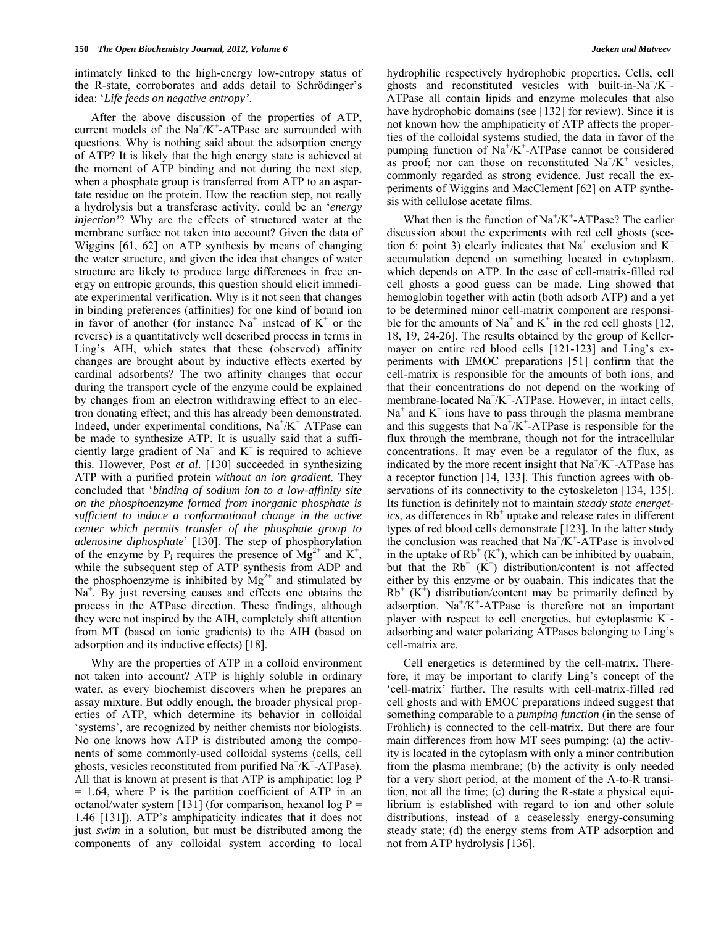intimately linked to the high-energy low-entropy status of the R-state, corroborates and adds detail to Schrödinger's idea: '*Life feeds on negative entropy'*.

 After the above discussion of the properties of ATP, current models of the  $Na^+/K^+$ -ATPase are surrounded with questions. Why is nothing said about the adsorption energy of ATP? It is likely that the high energy state is achieved at the moment of ATP binding and not during the next step, when a phosphate group is transferred from ATP to an aspartate residue on the protein. How the reaction step, not really a hydrolysis but a transferase activity, could be an '*energy injection'*? Why are the effects of structured water at the membrane surface not taken into account? Given the data of Wiggins [61, 62] on ATP synthesis by means of changing the water structure, and given the idea that changes of water structure are likely to produce large differences in free energy on entropic grounds, this question should elicit immediate experimental verification. Why is it not seen that changes in binding preferences (affinities) for one kind of bound ion in favor of another (for instance  $Na<sup>+</sup>$  instead of  $K<sup>+</sup>$  or the reverse) is a quantitatively well described process in terms in Ling's AIH, which states that these (observed) affinity changes are brought about by inductive effects exerted by cardinal adsorbents? The two affinity changes that occur during the transport cycle of the enzyme could be explained by changes from an electron withdrawing effect to an electron donating effect; and this has already been demonstrated. Indeed, under experimental conditions, Na<sup>+</sup>/K<sup>+</sup> ATPase can be made to synthesize ATP. It is usually said that a sufficiently large gradient of Na<sup>+</sup> and  $K^+$  is required to achieve this. However, Post *et al*. [130] succeeded in synthesizing ATP with a purified protein *without an ion gradient*. They concluded that '*binding of sodium ion to a low-affinity site on the phosphoenzyme formed from inorganic phosphate is sufficient to induce a conformational change in the active center which permits transfer of the phosphate group to adenosine diphosphate*' [130]. The step of phosphorylation of the enzyme by  $P_i$  requires the presence of  $Mg^{2+}$  and  $K^+$ , while the subsequent step of ATP synthesis from ADP and the phosphoenzyme is inhibited by  $Mg^{2+}$  and stimulated by Na<sup>+</sup>. By just reversing causes and effects one obtains the process in the ATPase direction. These findings, although they were not inspired by the AIH, completely shift attention from MT (based on ionic gradients) to the AIH (based on adsorption and its inductive effects) [18].

 Why are the properties of ATP in a colloid environment not taken into account? ATP is highly soluble in ordinary water, as every biochemist discovers when he prepares an assay mixture. But oddly enough, the broader physical properties of ATP, which determine its behavior in colloidal 'systems', are recognized by neither chemists nor biologists. No one knows how ATP is distributed among the components of some commonly-used colloidal systems (cells, cell ghosts, vesicles reconstituted from purified  $\text{Na}^{\text{+}}/\text{K}^{\text{+}}\text{-ATPase}$ . All that is known at present is that ATP is amphipatic: log P  $= 1.64$ , where P is the partition coefficient of ATP in an octanol/water system [131] (for comparison, hexanol  $log P =$ 1.46 [131]). ATP's amphipaticity indicates that it does not just *swim* in a solution, but must be distributed among the components of any colloidal system according to local

hydrophilic respectively hydrophobic properties. Cells, cell ghosts and reconstituted vesicles with built-in-Na<sup>+</sup>/K<sup>+</sup>-ATPase all contain lipids and enzyme molecules that also have hydrophobic domains (see [132] for review). Since it is not known how the amphipaticity of ATP affects the properties of the colloidal systems studied, the data in favor of the pumping function of  $Na^+/K^+$ -ATPase cannot be considered as proof; nor can those on reconstituted  $\text{Na}^+/\text{K}^+$  vesicles, commonly regarded as strong evidence. Just recall the experiments of Wiggins and MacClement [62] on ATP synthesis with cellulose acetate films.

What then is the function of  $Na^+/K^+$ -ATPase? The earlier discussion about the experiments with red cell ghosts (section 6: point 3) clearly indicates that Na<sup>+</sup> exclusion and  $K^+$ accumulation depend on something located in cytoplasm, which depends on ATP. In the case of cell-matrix-filled red cell ghosts a good guess can be made. Ling showed that hemoglobin together with actin (both adsorb ATP) and a yet to be determined minor cell-matrix component are responsible for the amounts of Na<sup>+</sup> and K<sup>+</sup> in the red cell ghosts [12, 18, 19, 24-26]. The results obtained by the group of Kellermayer on entire red blood cells [121-123] and Ling's experiments with EMOC preparations [51] confirm that the cell-matrix is responsible for the amounts of both ions, and that their concentrations do not depend on the working of membrane-located Na<sup>+</sup>/K<sup>+</sup>-ATPase. However, in intact cells,  $Na<sup>+</sup>$  and  $K<sup>+</sup>$  ions have to pass through the plasma membrane and this suggests that  $Na^+/K^+$ -ATPase is responsible for the flux through the membrane, though not for the intracellular concentrations. It may even be a regulator of the flux, as indicated by the more recent insight that Na<sup>+</sup>/K<sup>+</sup>-ATPase has a receptor function [14, 133]. This function agrees with observations of its connectivity to the cytoskeleton [134, 135]. Its function is definitely not to maintain *steady state energet* $ics$ , as differences in  $Rb^+$  uptake and release rates in different types of red blood cells demonstrate [123]. In the latter study the conclusion was reached that  $\text{Na}^+\text{/K}^+$ -ATPase is involved in the uptake of  $Rb^{+}(K^{+})$ , which can be inhibited by ouabain, but that the  $Rb^+$  ( $K^+$ ) distribution/content is not affected either by this enzyme or by ouabain. This indicates that the  $Rb^+$  (K<sup>+</sup>) distribution/content may be primarily defined by adsorption.  $Na^{+}/K^{+}$ -ATPase is therefore not an important player with respect to cell energetics, but cytoplasmic  $K^+$ adsorbing and water polarizing ATPases belonging to Ling's cell-matrix are.

 Cell energetics is determined by the cell-matrix. Therefore, it may be important to clarify Ling's concept of the 'cell-matrix' further. The results with cell-matrix-filled red cell ghosts and with EMOC preparations indeed suggest that something comparable to a *pumping function* (in the sense of Fröhlich) is connected to the cell-matrix. But there are four main differences from how MT sees pumping: (a) the activity is located in the cytoplasm with only a minor contribution from the plasma membrane; (b) the activity is only needed for a very short period, at the moment of the A-to-R transition, not all the time; (c) during the R-state a physical equilibrium is established with regard to ion and other solute distributions, instead of a ceaselessly energy-consuming steady state; (d) the energy stems from ATP adsorption and not from ATP hydrolysis [136].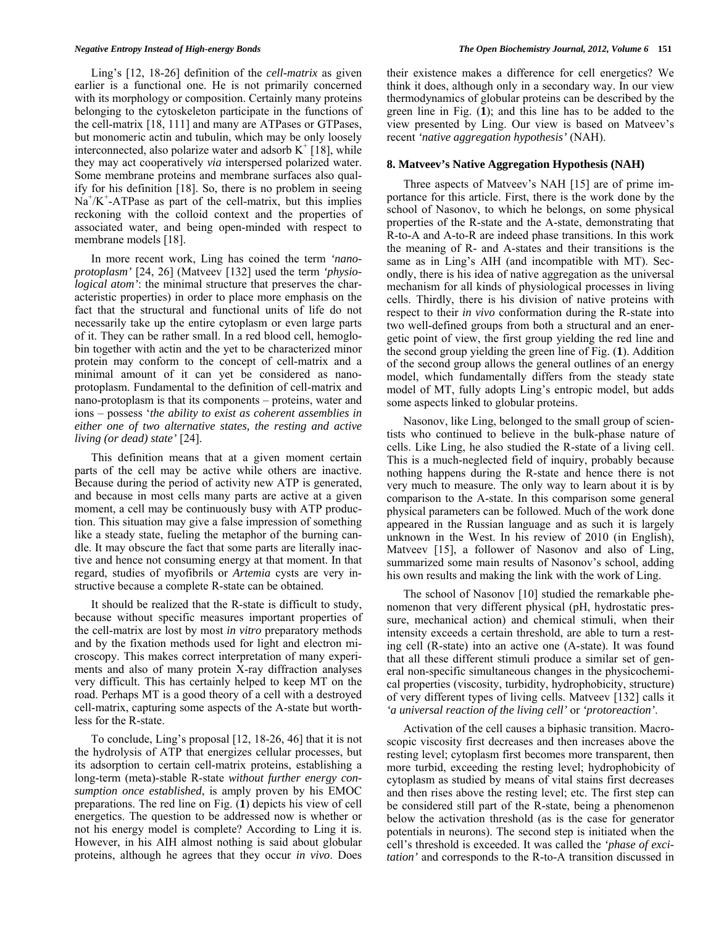Ling's [12, 18-26] definition of the *cell-matrix* as given earlier is a functional one. He is not primarily concerned with its morphology or composition. Certainly many proteins belonging to the cytoskeleton participate in the functions of the cell-matrix [18, 111] and many are ATPases or GTPases, but monomeric actin and tubulin, which may be only loosely interconnected, also polarize water and adsorb  $K^+$  [18], while they may act cooperatively *via* interspersed polarized water. Some membrane proteins and membrane surfaces also qualify for his definition [18]. So, there is no problem in seeing  $Na<sup>+</sup>/K<sup>+</sup>-ATPase$  as part of the cell-matrix, but this implies reckoning with the colloid context and the properties of associated water, and being open-minded with respect to membrane models [18].

 In more recent work, Ling has coined the term *'nanoprotoplasm'* [24, 26] (Matveev [132] used the term *'physiological atom'*: the minimal structure that preserves the characteristic properties) in order to place more emphasis on the fact that the structural and functional units of life do not necessarily take up the entire cytoplasm or even large parts of it. They can be rather small. In a red blood cell, hemoglobin together with actin and the yet to be characterized minor protein may conform to the concept of cell-matrix and a minimal amount of it can yet be considered as nanoprotoplasm. Fundamental to the definition of cell-matrix and nano-protoplasm is that its components – proteins, water and ions – possess '*the ability to exist as coherent assemblies in either one of two alternative states, the resting and active living (or dead) state'* [24].

 This definition means that at a given moment certain parts of the cell may be active while others are inactive. Because during the period of activity new ATP is generated, and because in most cells many parts are active at a given moment, a cell may be continuously busy with ATP production. This situation may give a false impression of something like a steady state, fueling the metaphor of the burning candle. It may obscure the fact that some parts are literally inactive and hence not consuming energy at that moment. In that regard, studies of myofibrils or *Artemia* cysts are very instructive because a complete R-state can be obtained.

 It should be realized that the R-state is difficult to study, because without specific measures important properties of the cell-matrix are lost by most *in vitro* preparatory methods and by the fixation methods used for light and electron microscopy. This makes correct interpretation of many experiments and also of many protein X-ray diffraction analyses very difficult. This has certainly helped to keep MT on the road. Perhaps MT is a good theory of a cell with a destroyed cell-matrix, capturing some aspects of the A-state but worthless for the R-state.

 To conclude, Ling's proposal [12, 18-26, 46] that it is not the hydrolysis of ATP that energizes cellular processes, but its adsorption to certain cell-matrix proteins, establishing a long-term (meta)-stable R-state *without further energy consumption once established*, is amply proven by his EMOC preparations. The red line on Fig. (**1**) depicts his view of cell energetics. The question to be addressed now is whether or not his energy model is complete? According to Ling it is. However, in his AIH almost nothing is said about globular proteins, although he agrees that they occur *in vivo*. Does

their existence makes a difference for cell energetics? We think it does, although only in a secondary way. In our view thermodynamics of globular proteins can be described by the green line in Fig. (**1**); and this line has to be added to the view presented by Ling. Our view is based on Matveev's recent *'native aggregation hypothesis'* (NAH).

#### **8. Matveev's Native Aggregation Hypothesis (NAH)**

 Three aspects of Matveev's NAH [15] are of prime importance for this article. First, there is the work done by the school of Nasonov, to which he belongs, on some physical properties of the R-state and the A-state, demonstrating that R-to-A and A-to-R are indeed phase transitions. In this work the meaning of R- and A-states and their transitions is the same as in Ling's AIH (and incompatible with MT). Secondly, there is his idea of native aggregation as the universal mechanism for all kinds of physiological processes in living cells. Thirdly, there is his division of native proteins with respect to their *in vivo* conformation during the R-state into two well-defined groups from both a structural and an energetic point of view, the first group yielding the red line and the second group yielding the green line of Fig. (**1**). Addition of the second group allows the general outlines of an energy model, which fundamentally differs from the steady state model of MT, fully adopts Ling's entropic model, but adds some aspects linked to globular proteins.

 Nasonov, like Ling, belonged to the small group of scientists who continued to believe in the bulk-phase nature of cells. Like Ling, he also studied the R-state of a living cell. This is a much-neglected field of inquiry, probably because nothing happens during the R-state and hence there is not very much to measure. The only way to learn about it is by comparison to the A-state. In this comparison some general physical parameters can be followed. Much of the work done appeared in the Russian language and as such it is largely unknown in the West. In his review of 2010 (in English), Matveev [15], a follower of Nasonov and also of Ling, summarized some main results of Nasonov's school, adding his own results and making the link with the work of Ling.

 The school of Nasonov [10] studied the remarkable phenomenon that very different physical (pH, hydrostatic pressure, mechanical action) and chemical stimuli, when their intensity exceeds a certain threshold, are able to turn a resting cell (R-state) into an active one (A-state). It was found that all these different stimuli produce a similar set of general non-specific simultaneous changes in the physicochemical properties (viscosity, turbidity, hydrophobicity, structure) of very different types of living cells. Matveev [132] calls it *'a universal reaction of the living cell'* or *'protoreaction'*.

 Activation of the cell causes a biphasic transition. Macroscopic viscosity first decreases and then increases above the resting level; cytoplasm first becomes more transparent, then more turbid, exceeding the resting level; hydrophobicity of cytoplasm as studied by means of vital stains first decreases and then rises above the resting level; etc. The first step can be considered still part of the R-state, being a phenomenon below the activation threshold (as is the case for generator potentials in neurons). The second step is initiated when the cell's threshold is exceeded. It was called the *'phase of excitation'* and corresponds to the R-to-A transition discussed in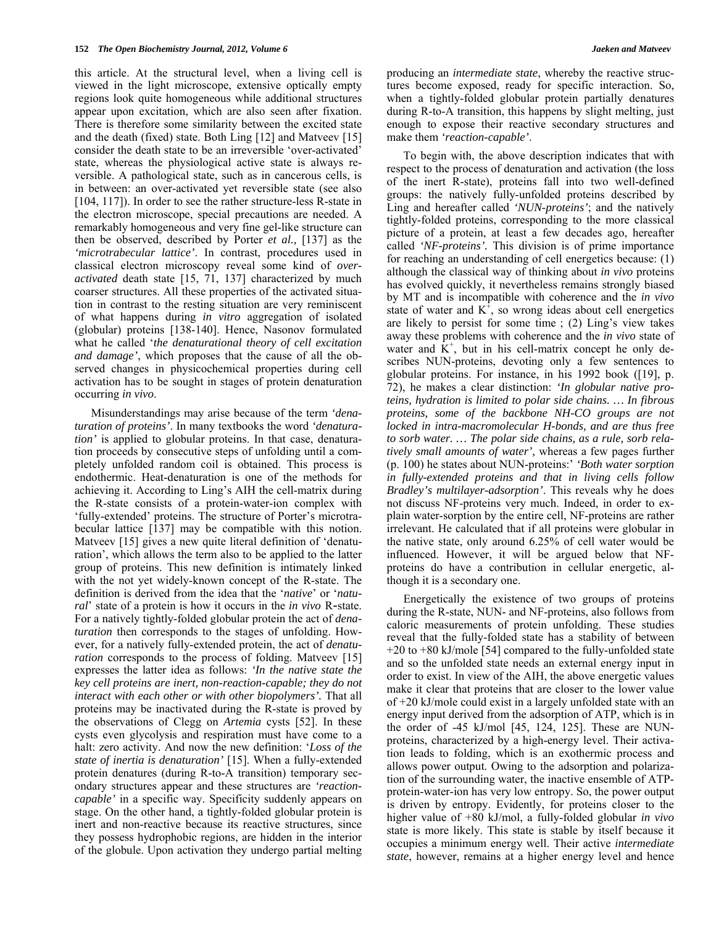this article. At the structural level, when a living cell is viewed in the light microscope, extensive optically empty regions look quite homogeneous while additional structures appear upon excitation, which are also seen after fixation. There is therefore some similarity between the excited state and the death (fixed) state. Both Ling [12] and Matveev [15] consider the death state to be an irreversible 'over-activated' state, whereas the physiological active state is always reversible. A pathological state, such as in cancerous cells, is in between: an over-activated yet reversible state (see also [104, 117]). In order to see the rather structure-less R-state in the electron microscope, special precautions are needed. A remarkably homogeneous and very fine gel-like structure can then be observed, described by Porter *et al.,* [137] as the *'microtrabecular lattice'*. In contrast, procedures used in classical electron microscopy reveal some kind of *overactivated* death state [15, 71, 137] characterized by much coarser structures. All these properties of the activated situation in contrast to the resting situation are very reminiscent of what happens during *in vitro* aggregation of isolated (globular) proteins [138-140]. Hence, Nasonov formulated what he called '*the denaturational theory of cell excitation and damage'*, which proposes that the cause of all the observed changes in physicochemical properties during cell activation has to be sought in stages of protein denaturation occurring *in vivo*.

 Misunderstandings may arise because of the term *'denaturation of proteins'*. In many textbooks the word *'denaturation'* is applied to globular proteins. In that case, denaturation proceeds by consecutive steps of unfolding until a completely unfolded random coil is obtained. This process is endothermic. Heat-denaturation is one of the methods for achieving it. According to Ling's AIH the cell-matrix during the R-state consists of a protein-water-ion complex with 'fully-extended' proteins. The structure of Porter's microtrabecular lattice [137] may be compatible with this notion. Matveev [15] gives a new quite literal definition of 'denaturation', which allows the term also to be applied to the latter group of proteins. This new definition is intimately linked with the not yet widely-known concept of the R-state. The definition is derived from the idea that the '*native*' or '*natural*' state of a protein is how it occurs in the *in vivo* R-state. For a natively tightly-folded globular protein the act of *denaturation* then corresponds to the stages of unfolding. However, for a natively fully-extended protein, the act of *denaturation* corresponds to the process of folding. Matveev [15] expresses the latter idea as follows: *'In the native state the key cell proteins are inert, non-reaction-capable; they do not interact with each other or with other biopolymers'.* That all proteins may be inactivated during the R-state is proved by the observations of Clegg on *Artemia* cysts [52]. In these cysts even glycolysis and respiration must have come to a halt: zero activity. And now the new definition: '*Loss of the state of inertia is denaturation'* [15]. When a fully-extended protein denatures (during R-to-A transition) temporary secondary structures appear and these structures are *'reactioncapable'* in a specific way. Specificity suddenly appears on stage. On the other hand, a tightly-folded globular protein is inert and non-reactive because its reactive structures, since they possess hydrophobic regions, are hidden in the interior of the globule. Upon activation they undergo partial melting producing an *intermediate state*, whereby the reactive structures become exposed, ready for specific interaction. So, when a tightly-folded globular protein partially denatures during R-to-A transition, this happens by slight melting, just enough to expose their reactive secondary structures and make them *'reaction-capable'*.

 To begin with, the above description indicates that with respect to the process of denaturation and activation (the loss of the inert R-state), proteins fall into two well-defined groups: the natively fully-unfolded proteins described by Ling and hereafter called *'NUN-proteins'*; and the natively tightly-folded proteins, corresponding to the more classical picture of a protein, at least a few decades ago, hereafter called *'NF-proteins'.* This division is of prime importance for reaching an understanding of cell energetics because: (1) although the classical way of thinking about *in vivo* proteins has evolved quickly, it nevertheless remains strongly biased by MT and is incompatible with coherence and the *in vivo* state of water and  $K^{\dagger}$ , so wrong ideas about cell energetics are likely to persist for some time ; (2) Ling's view takes away these problems with coherence and the *in vivo* state of water and  $K^+$ , but in his cell-matrix concept he only describes NUN-proteins, devoting only a few sentences to globular proteins. For instance, in his 1992 book ([19], p. 72), he makes a clear distinction: *'In globular native proteins, hydration is limited to polar side chains. … In fibrous proteins, some of the backbone NH-CO groups are not locked in intra-macromolecular H-bonds, and are thus free to sorb water. … The polar side chains, as a rule, sorb relatively small amounts of water',* whereas a few pages further (p. 100) he states about NUN-proteins:' *'Both water sorption in fully-extended proteins and that in living cells follow Bradley's multilayer-adsorption'*. This reveals why he does not discuss NF-proteins very much. Indeed, in order to explain water-sorption by the entire cell, NF-proteins are rather irrelevant. He calculated that if all proteins were globular in the native state, only around 6.25% of cell water would be influenced. However, it will be argued below that NFproteins do have a contribution in cellular energetic, although it is a secondary one.

 Energetically the existence of two groups of proteins during the R-state, NUN- and NF-proteins, also follows from caloric measurements of protein unfolding. These studies reveal that the fully-folded state has a stability of between +20 to +80 kJ/mole [54] compared to the fully-unfolded state and so the unfolded state needs an external energy input in order to exist. In view of the AIH, the above energetic values make it clear that proteins that are closer to the lower value of +20 kJ/mole could exist in a largely unfolded state with an energy input derived from the adsorption of ATP, which is in the order of -45 kJ/mol [45, 124, 125]. These are NUNproteins, characterized by a high-energy level. Their activation leads to folding, which is an exothermic process and allows power output. Owing to the adsorption and polarization of the surrounding water, the inactive ensemble of ATPprotein-water-ion has very low entropy. So, the power output is driven by entropy. Evidently, for proteins closer to the higher value of +80 kJ/mol, a fully-folded globular *in vivo* state is more likely. This state is stable by itself because it occupies a minimum energy well. Their active *intermediate state*, however, remains at a higher energy level and hence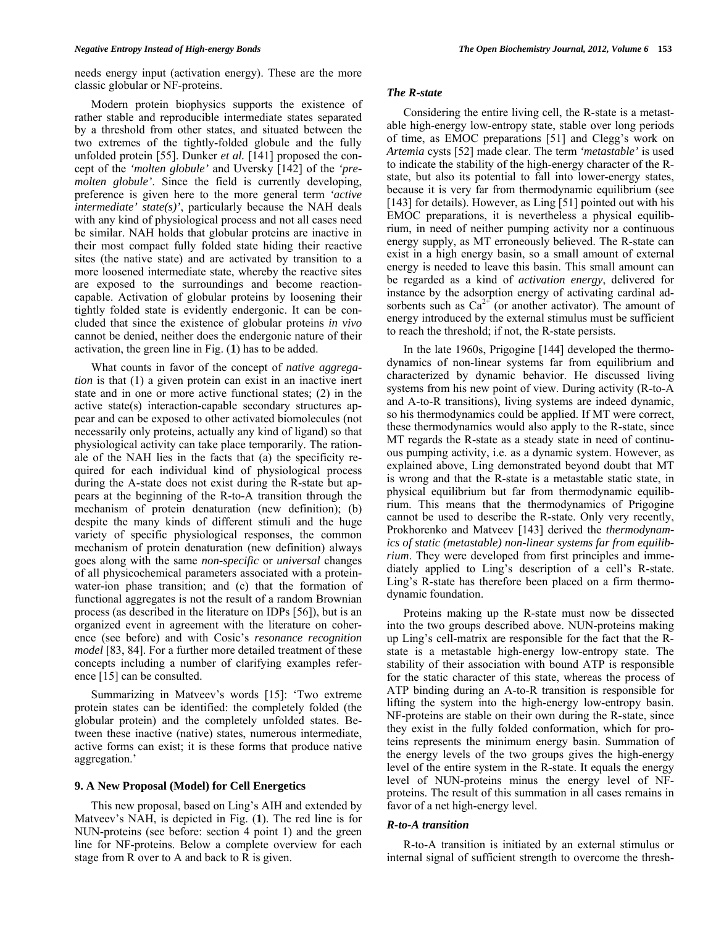Modern protein biophysics supports the existence of rather stable and reproducible intermediate states separated by a threshold from other states, and situated between the two extremes of the tightly-folded globule and the fully unfolded protein [55]. Dunker *et al.* [141] proposed the concept of the *'molten globule'* and Uversky [142] of the *'premolten globule'*. Since the field is currently developing, preference is given here to the more general term *'active intermediate' state(s)'*, particularly because the NAH deals with any kind of physiological process and not all cases need be similar. NAH holds that globular proteins are inactive in their most compact fully folded state hiding their reactive sites (the native state) and are activated by transition to a more loosened intermediate state, whereby the reactive sites are exposed to the surroundings and become reactioncapable. Activation of globular proteins by loosening their tightly folded state is evidently endergonic. It can be concluded that since the existence of globular proteins *in vivo* cannot be denied, neither does the endergonic nature of their activation, the green line in Fig. (**1**) has to be added.

 What counts in favor of the concept of *native aggregation* is that (1) a given protein can exist in an inactive inert state and in one or more active functional states; (2) in the active state(s) interaction-capable secondary structures appear and can be exposed to other activated biomolecules (not necessarily only proteins, actually any kind of ligand) so that physiological activity can take place temporarily. The rationale of the NAH lies in the facts that (a) the specificity required for each individual kind of physiological process during the A-state does not exist during the R-state but appears at the beginning of the R-to-A transition through the mechanism of protein denaturation (new definition); (b) despite the many kinds of different stimuli and the huge variety of specific physiological responses, the common mechanism of protein denaturation (new definition) always goes along with the same *non-specific* or *universal* changes of all physicochemical parameters associated with a proteinwater-ion phase transition; and (c) that the formation of functional aggregates is not the result of a random Brownian process (as described in the literature on IDPs [56]), but is an organized event in agreement with the literature on coherence (see before) and with Cosic's *resonance recognition model* [83, 84]. For a further more detailed treatment of these concepts including a number of clarifying examples reference [15] can be consulted.

 Summarizing in Matveev's words [15]: 'Two extreme protein states can be identified: the completely folded (the globular protein) and the completely unfolded states. Between these inactive (native) states, numerous intermediate, active forms can exist; it is these forms that produce native aggregation.'

#### **9. A New Proposal (Model) for Cell Energetics**

 This new proposal, based on Ling's AIH and extended by Matveev's NAH, is depicted in Fig. (**1**). The red line is for NUN-proteins (see before: section 4 point 1) and the green line for NF-proteins. Below a complete overview for each stage from R over to A and back to R is given.

#### *The R-state*

 Considering the entire living cell, the R-state is a metastable high-energy low-entropy state, stable over long periods of time, as EMOC preparations [51] and Clegg's work on *Artemia* cysts [52] made clear. The term *'metastable'* is used to indicate the stability of the high-energy character of the Rstate, but also its potential to fall into lower-energy states, because it is very far from thermodynamic equilibrium (see [143] for details). However, as Ling [51] pointed out with his EMOC preparations, it is nevertheless a physical equilibrium, in need of neither pumping activity nor a continuous energy supply, as MT erroneously believed. The R-state can exist in a high energy basin, so a small amount of external energy is needed to leave this basin. This small amount can be regarded as a kind of *activation energy*, delivered for instance by the adsorption energy of activating cardinal adsorbents such as  $Ca^{2+}$  (or another activator). The amount of energy introduced by the external stimulus must be sufficient to reach the threshold; if not, the R-state persists.

 In the late 1960s, Prigogine [144] developed the thermodynamics of non-linear systems far from equilibrium and characterized by dynamic behavior. He discussed living systems from his new point of view. During activity (R-to-A and A-to-R transitions), living systems are indeed dynamic, so his thermodynamics could be applied. If MT were correct, these thermodynamics would also apply to the R-state, since MT regards the R-state as a steady state in need of continuous pumping activity, i.e. as a dynamic system. However, as explained above, Ling demonstrated beyond doubt that MT is wrong and that the R-state is a metastable static state, in physical equilibrium but far from thermodynamic equilibrium. This means that the thermodynamics of Prigogine cannot be used to describe the R-state. Only very recently, Prokhorenko and Matveev [143] derived the *thermodynamics of static (metastable) non-linear systems far from equilibrium*. They were developed from first principles and immediately applied to Ling's description of a cell's R-state. Ling's R-state has therefore been placed on a firm thermodynamic foundation.

 Proteins making up the R-state must now be dissected into the two groups described above. NUN-proteins making up Ling's cell-matrix are responsible for the fact that the Rstate is a metastable high-energy low-entropy state. The stability of their association with bound ATP is responsible for the static character of this state, whereas the process of ATP binding during an A-to-R transition is responsible for lifting the system into the high-energy low-entropy basin. NF-proteins are stable on their own during the R-state, since they exist in the fully folded conformation, which for proteins represents the minimum energy basin. Summation of the energy levels of the two groups gives the high-energy level of the entire system in the R-state. It equals the energy level of NUN-proteins minus the energy level of NFproteins. The result of this summation in all cases remains in favor of a net high-energy level.

#### *R-to-A transition*

 R-to-A transition is initiated by an external stimulus or internal signal of sufficient strength to overcome the thresh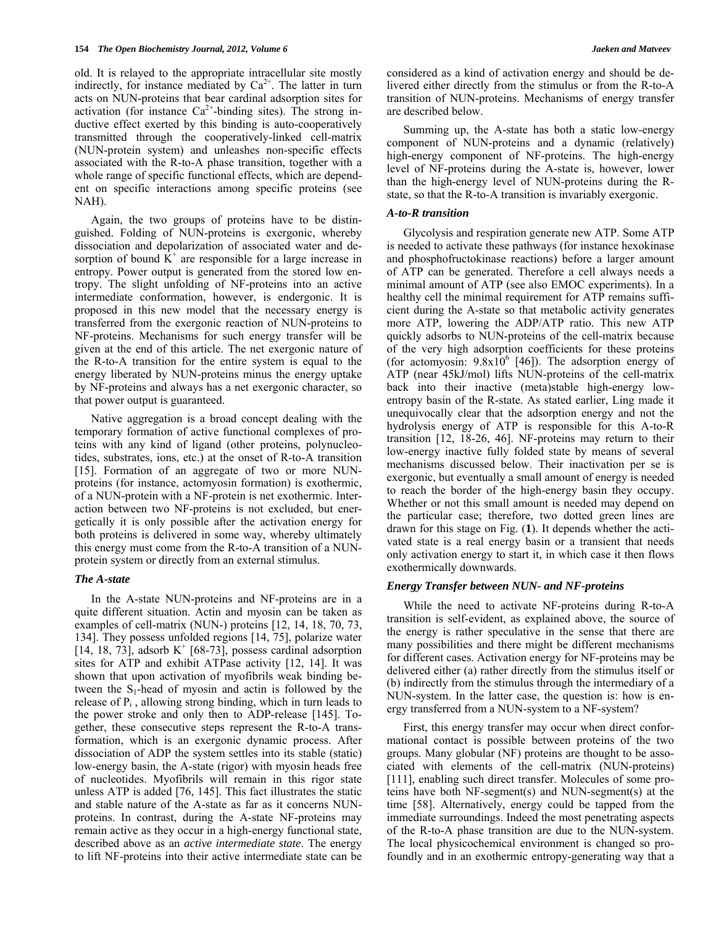old. It is relayed to the appropriate intracellular site mostly indirectly, for instance mediated by  $Ca^{2+}$ . The latter in turn acts on NUN-proteins that bear cardinal adsorption sites for activation (for instance  $Ca^{2+}$ -binding sites). The strong inductive effect exerted by this binding is auto-cooperatively transmitted through the cooperatively-linked cell-matrix (NUN-protein system) and unleashes non-specific effects associated with the R-to-A phase transition, together with a whole range of specific functional effects, which are dependent on specific interactions among specific proteins (see NAH).

 Again, the two groups of proteins have to be distinguished. Folding of NUN-proteins is exergonic, whereby dissociation and depolarization of associated water and desorption of bound  $\overrightarrow{K}^+$  are responsible for a large increase in entropy. Power output is generated from the stored low entropy. The slight unfolding of NF-proteins into an active intermediate conformation, however, is endergonic. It is proposed in this new model that the necessary energy is transferred from the exergonic reaction of NUN-proteins to NF-proteins. Mechanisms for such energy transfer will be given at the end of this article. The net exergonic nature of the R-to-A transition for the entire system is equal to the energy liberated by NUN-proteins minus the energy uptake by NF-proteins and always has a net exergonic character, so that power output is guaranteed.

 Native aggregation is a broad concept dealing with the temporary formation of active functional complexes of proteins with any kind of ligand (other proteins, polynucleotides, substrates, ions, etc.) at the onset of R-to-A transition [15]. Formation of an aggregate of two or more NUNproteins (for instance, actomyosin formation) is exothermic, of a NUN-protein with a NF-protein is net exothermic. Interaction between two NF-proteins is not excluded, but energetically it is only possible after the activation energy for both proteins is delivered in some way, whereby ultimately this energy must come from the R-to-A transition of a NUNprotein system or directly from an external stimulus.

#### *The A-state*

 In the A-state NUN-proteins and NF-proteins are in a quite different situation. Actin and myosin can be taken as examples of cell-matrix (NUN-) proteins [12, 14, 18, 70, 73, 134]. They possess unfolded regions [14, 75], polarize water  $[14, 18, 73]$ , adsorb K<sup>+</sup> [68-73], possess cardinal adsorption sites for ATP and exhibit ATPase activity [12, 14]. It was shown that upon activation of myofibrils weak binding between the  $S_1$ -head of myosin and actin is followed by the release of  $P_i$ , allowing strong binding, which in turn leads to the power stroke and only then to ADP-release [145]. Together, these consecutive steps represent the R-to-A transformation, which is an exergonic dynamic process. After dissociation of ADP the system settles into its stable (static) low-energy basin, the A-state (rigor) with myosin heads free of nucleotides. Myofibrils will remain in this rigor state unless ATP is added [76, 145]. This fact illustrates the static and stable nature of the A-state as far as it concerns NUNproteins. In contrast, during the A-state NF-proteins may remain active as they occur in a high-energy functional state, described above as an *active intermediate state*. The energy to lift NF-proteins into their active intermediate state can be

considered as a kind of activation energy and should be delivered either directly from the stimulus or from the R-to-A transition of NUN-proteins. Mechanisms of energy transfer are described below.

 Summing up, the A-state has both a static low-energy component of NUN-proteins and a dynamic (relatively) high-energy component of NF-proteins. The high-energy level of NF-proteins during the A-state is, however, lower than the high-energy level of NUN-proteins during the Rstate, so that the R-to-A transition is invariably exergonic.

### *A-to-R transition*

 Glycolysis and respiration generate new ATP. Some ATP is needed to activate these pathways (for instance hexokinase and phosphofructokinase reactions) before a larger amount of ATP can be generated. Therefore a cell always needs a minimal amount of ATP (see also EMOC experiments). In a healthy cell the minimal requirement for ATP remains sufficient during the A-state so that metabolic activity generates more ATP, lowering the ADP/ATP ratio. This new ATP quickly adsorbs to NUN-proteins of the cell-matrix because of the very high adsorption coefficients for these proteins (for actomyosin:  $9.8 \times 10^6$  [46]). The adsorption energy of ATP (near 45kJ/mol) lifts NUN-proteins of the cell-matrix back into their inactive (meta)stable high-energy lowentropy basin of the R-state. As stated earlier, Ling made it unequivocally clear that the adsorption energy and not the hydrolysis energy of ATP is responsible for this A-to-R transition [12, 18-26, 46]. NF-proteins may return to their low-energy inactive fully folded state by means of several mechanisms discussed below. Their inactivation per se is exergonic, but eventually a small amount of energy is needed to reach the border of the high-energy basin they occupy. Whether or not this small amount is needed may depend on the particular case; therefore, two dotted green lines are drawn for this stage on Fig. (**1**). It depends whether the activated state is a real energy basin or a transient that needs only activation energy to start it, in which case it then flows exothermically downwards.

#### *Energy Transfer between NUN- and NF-proteins*

 While the need to activate NF-proteins during R-to-A transition is self-evident, as explained above, the source of the energy is rather speculative in the sense that there are many possibilities and there might be different mechanisms for different cases. Activation energy for NF-proteins may be delivered either (a) rather directly from the stimulus itself or (b) indirectly from the stimulus through the intermediary of a NUN-system. In the latter case, the question is: how is energy transferred from a NUN-system to a NF-system?

 First, this energy transfer may occur when direct conformational contact is possible between proteins of the two groups. Many globular (NF) proteins are thought to be associated with elements of the cell-matrix (NUN-proteins) [111], enabling such direct transfer. Molecules of some proteins have both NF-segment(s) and NUN-segment(s) at the time [58]. Alternatively, energy could be tapped from the immediate surroundings. Indeed the most penetrating aspects of the R-to-A phase transition are due to the NUN-system. The local physicochemical environment is changed so profoundly and in an exothermic entropy-generating way that a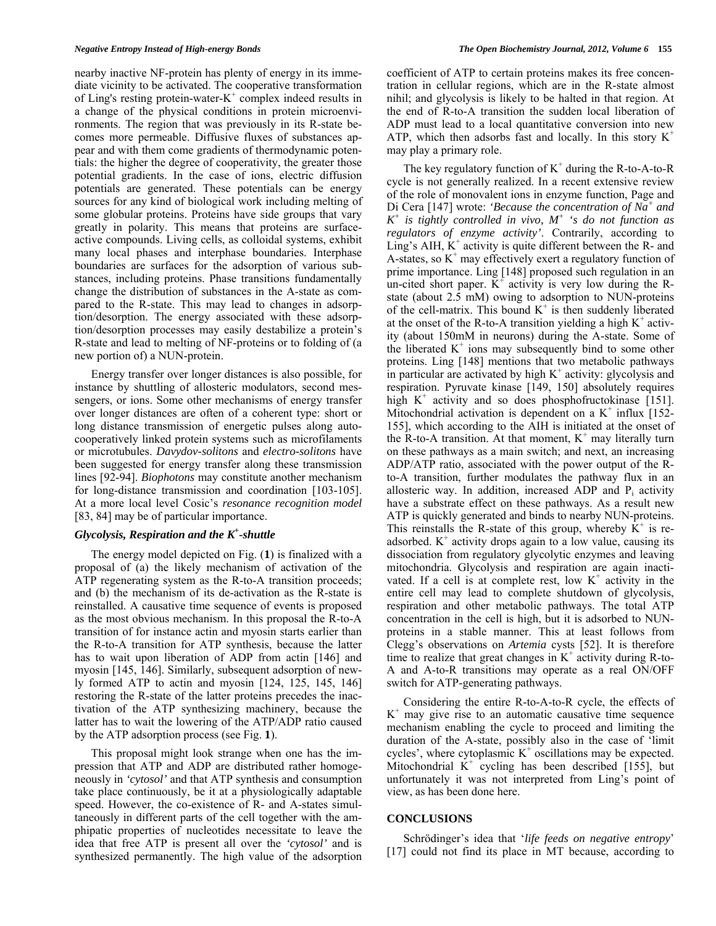nearby inactive NF-protein has plenty of energy in its immediate vicinity to be activated. The cooperative transformation of Ling's resting protein-water- $K^+$  complex indeed results in a change of the physical conditions in protein microenvironments. The region that was previously in its R-state becomes more permeable. Diffusive fluxes of substances appear and with them come gradients of thermodynamic potentials: the higher the degree of cooperativity, the greater those potential gradients. In the case of ions, electric diffusion potentials are generated. These potentials can be energy sources for any kind of biological work including melting of some globular proteins. Proteins have side groups that vary greatly in polarity. This means that proteins are surfaceactive compounds. Living cells, as colloidal systems, exhibit many local phases and interphase boundaries. Interphase boundaries are surfaces for the adsorption of various substances, including proteins. Phase transitions fundamentally change the distribution of substances in the A-state as compared to the R-state. This may lead to changes in adsorption/desorption. The energy associated with these adsorption/desorption processes may easily destabilize a protein's R-state and lead to melting of NF-proteins or to folding of (a new portion of) a NUN-protein.

 Energy transfer over longer distances is also possible, for instance by shuttling of allosteric modulators, second messengers, or ions. Some other mechanisms of energy transfer over longer distances are often of a coherent type: short or long distance transmission of energetic pulses along autocooperatively linked protein systems such as microfilaments or microtubules. *Davydov-solitons* and *electro-solitons* have been suggested for energy transfer along these transmission lines [92-94]. *Biophotons* may constitute another mechanism for long-distance transmission and coordination [103-105]. At a more local level Cosic's *resonance recognition model* [83, 84] may be of particular importance.

## *Glycolysis, Respiration and the K+ -shuttle*

 The energy model depicted on Fig. (**1**) is finalized with a proposal of (a) the likely mechanism of activation of the ATP regenerating system as the R-to-A transition proceeds; and (b) the mechanism of its de-activation as the R-state is reinstalled. A causative time sequence of events is proposed as the most obvious mechanism. In this proposal the R-to-A transition of for instance actin and myosin starts earlier than the R-to-A transition for ATP synthesis, because the latter has to wait upon liberation of ADP from actin [146] and myosin [145, 146]. Similarly, subsequent adsorption of newly formed ATP to actin and myosin [124, 125, 145, 146] restoring the R-state of the latter proteins precedes the inactivation of the ATP synthesizing machinery, because the latter has to wait the lowering of the ATP/ADP ratio caused by the ATP adsorption process (see Fig. **1**).

 This proposal might look strange when one has the impression that ATP and ADP are distributed rather homogeneously in *'cytosol'* and that ATP synthesis and consumption take place continuously, be it at a physiologically adaptable speed. However, the co-existence of R- and A-states simultaneously in different parts of the cell together with the amphipatic properties of nucleotides necessitate to leave the idea that free ATP is present all over the *'cytosol'* and is synthesized permanently. The high value of the adsorption coefficient of ATP to certain proteins makes its free concentration in cellular regions, which are in the R-state almost nihil; and glycolysis is likely to be halted in that region. At the end of R-to-A transition the sudden local liberation of ADP must lead to a local quantitative conversion into new ATP, which then adsorbs fast and locally. In this story  $K^+$ may play a primary role.

The key regulatory function of  $K^+$  during the R-to-A-to-R cycle is not generally realized. In a recent extensive review of the role of monovalent ions in enzyme function, Page and Di Cera [147] wrote: *'Because the concentration of Na<sup>+</sup> and*   $K^+$  is tightly controlled in vivo,  $M^+$  's do not function as *regulators of enzyme activity'*. Contrarily, according to Ling's AIH,  $K^+$  activity is quite different between the R- and A-states, so  $K^+$  may effectively exert a regulatory function of prime importance. Ling [148] proposed such regulation in an un-cited short paper.  $K^+$  activity is very low during the Rstate (about 2.5 mM) owing to adsorption to NUN-proteins of the cell-matrix. This bound  $K^+$  is then suddenly liberated at the onset of the R-to-A transition yielding a high  $K^+$  activity (about 150mM in neurons) during the A-state. Some of the liberated  $K^+$  ions may subsequently bind to some other proteins. Ling [148] mentions that two metabolic pathways in particular are activated by high  $K^+$  activity: glycolysis and respiration. Pyruvate kinase [149, 150] absolutely requires high  $K^+$  activity and so does phosphofructokinase [151]. Mitochondrial activation is dependent on a  $K^+$  influx [152-155], which according to the AIH is initiated at the onset of the  $\overline{R}$ -to-A transition. At that moment,  $K^+$  may literally turn on these pathways as a main switch; and next, an increasing ADP/ATP ratio, associated with the power output of the Rto-A transition, further modulates the pathway flux in an allosteric way. In addition, increased ADP and  $P_i$  activity have a substrate effect on these pathways. As a result new ATP is quickly generated and binds to nearby NUN-proteins. This reinstalls the R-state of this group, whereby  $K^+$  is readsorbed.  $K^+$  activity drops again to a low value, causing its dissociation from regulatory glycolytic enzymes and leaving mitochondria. Glycolysis and respiration are again inactivated. If a cell is at complete rest, low  $K^+$  activity in the entire cell may lead to complete shutdown of glycolysis, respiration and other metabolic pathways. The total ATP concentration in the cell is high, but it is adsorbed to NUNproteins in a stable manner. This at least follows from Clegg's observations on *Artemia* cysts [52]. It is therefore time to realize that great changes in  $K^+$  activity during R-to-A and A-to-R transitions may operate as a real ON/OFF switch for ATP-generating pathways.

 Considering the entire R-to-A-to-R cycle, the effects of  $K<sup>+</sup>$  may give rise to an automatic causative time sequence mechanism enabling the cycle to proceed and limiting the duration of the A-state, possibly also in the case of 'limit cycles', where cytoplasmic  $K^+$  oscillations may be expected. Mitochondrial  $\tilde{K}^+$  cycling has been described [155], but unfortunately it was not interpreted from Ling's point of view, as has been done here.

#### **CONCLUSIONS**

 Schrödinger's idea that '*life feeds on negative entropy*' [17] could not find its place in MT because, according to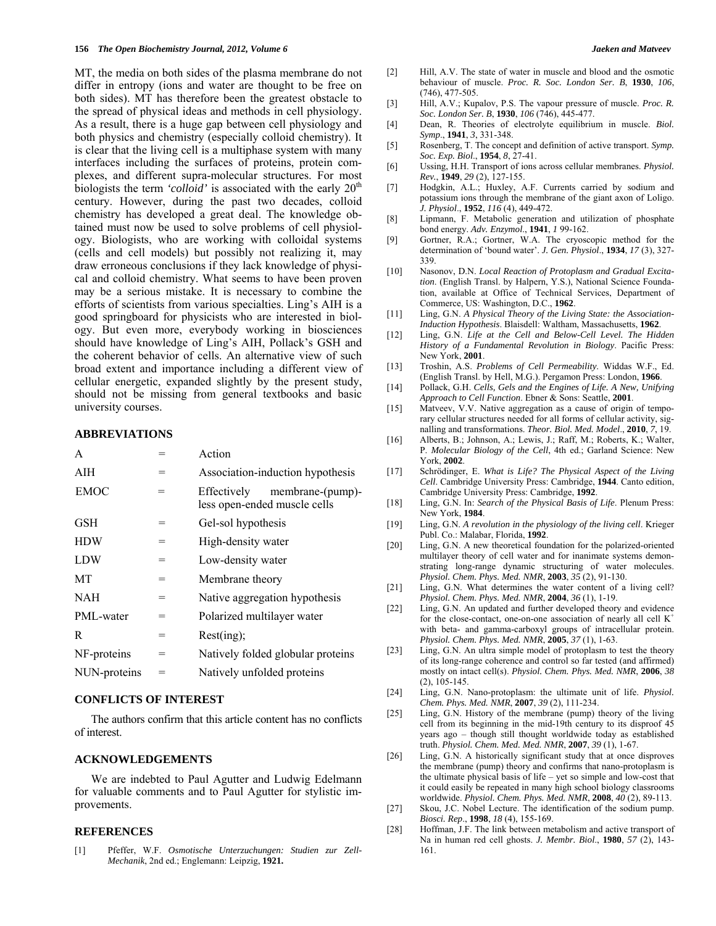MT, the media on both sides of the plasma membrane do not differ in entropy (ions and water are thought to be free on both sides). MT has therefore been the greatest obstacle to the spread of physical ideas and methods in cell physiology. As a result, there is a huge gap between cell physiology and both physics and chemistry (especially colloid chemistry). It is clear that the living cell is a multiphase system with many interfaces including the surfaces of proteins, protein complexes, and different supra-molecular structures. For most biologists the term *'colloid'* is associated with the early  $20<sup>th</sup>$ century. However, during the past two decades, colloid chemistry has developed a great deal. The knowledge obtained must now be used to solve problems of cell physiology. Biologists, who are working with colloidal systems (cells and cell models) but possibly not realizing it, may draw erroneous conclusions if they lack knowledge of physical and colloid chemistry. What seems to have been proven may be a serious mistake. It is necessary to combine the efforts of scientists from various specialties. Ling's AIH is a good springboard for physicists who are interested in biology. But even more, everybody working in biosciences should have knowledge of Ling's AIH, Pollack's GSH and the coherent behavior of cells. An alternative view of such broad extent and importance including a different view of cellular energetic, expanded slightly by the present study, should not be missing from general textbooks and basic university courses.

#### **ABBREVIATIONS**

| A            |   | Action                                                          |
|--------------|---|-----------------------------------------------------------------|
| AIH          |   | Association-induction hypothesis                                |
| <b>EMOC</b>  |   | Effectively<br>membrane-(pump)-<br>less open-ended muscle cells |
| <b>GSH</b>   |   | Gel-sol hypothesis                                              |
| <b>HDW</b>   |   | High-density water                                              |
| <b>LDW</b>   | = | Low-density water                                               |
| MT           | = | Membrane theory                                                 |
| <b>NAH</b>   | = | Native aggregation hypothesis                                   |
| PML-water    |   | Polarized multilayer water                                      |
| R            | = | Rest(ing);                                                      |
| NF-proteins  |   | Natively folded globular proteins                               |
| NUN-proteins |   | Natively unfolded proteins                                      |
|              |   |                                                                 |

### **CONFLICTS OF INTEREST**

 The authors confirm that this article content has no conflicts of interest.

### **ACKNOWLEDGEMENTS**

 We are indebted to Paul Agutter and Ludwig Edelmann for valuable comments and to Paul Agutter for stylistic improvements.

#### **REFERENCES**

[1] Pfeffer, W.F. *Osmotische Unterzuchungen: Studien zur Zell-Mechanik*, 2nd ed.; Englemann: Leipzig, **1921.**

- [2] Hill, A.V. The state of water in muscle and blood and the osmotic behaviour of muscle. *Proc. R. Soc. London Ser. B*, **1930**, *106*, (746), 477-505.
- [3] Hill, A.V.; Kupalov, P.S. The vapour pressure of muscle. *Proc. R. Soc. London Ser. B*, **1930**, *106* (746), 445-477.
- [4] Dean, R. Theories of electrolyte equilibrium in muscle. *Biol. Symp*., **1941**, *3*, 331-348.
- [5] Rosenberg, T. The concept and definition of active transport. *Symp. Soc. Exp. Biol*., **1954**, *8*, 27-41.
- [6] Ussing, H.H. Transport of ions across cellular membranes. *Physiol. Rev.*, **1949**, *29* (2), 127-155.
- [7] Hodgkin, A.L.; Huxley, A.F. Currents carried by sodium and potassium ions through the membrane of the giant axon of Loligo. *J. Physiol*., **1952**, *116* (4), 449-472.
- [8] Lipmann, F. Metabolic generation and utilization of phosphate bond energy. *Adv. Enzymol*., **1941**, *1* 99-162.
- [9] Gortner, R.A.; Gortner, W.A. The cryoscopic method for the determination of 'bound water'. *J. Gen. Physiol*., **1934**, *17* (3), 327- 339.
- [10] Nasonov, D.N. *Local Reaction of Protoplasm and Gradual Excitation*. (English Transl. by Halpern, Y.S.), National Science Foundation, available at Office of Technical Services, Department of Commerce, US: Washington, D.C., **1962**.
- [11] Ling, G.N. *A Physical Theory of the Living State: the Association-Induction Hypothesis*. Blaisdell: Waltham, Massachusetts, **1962**.
- [12] Ling, G.N. *Life at the Cell and Below-Cell Level. The Hidden History of a Fundamental Revolution in Biology*. Pacific Press: New York, **2001**.
- [13] Troshin, A.S. *Problems of Cell Permeability*. Widdas W.F., Ed. (English Transl. by Hell, M.G.). Pergamon Press: London, **1966**.
- [14] Pollack, G.H. *Cells, Gels and the Engines of Life. A New, Unifying Approach to Cell Function*. Ebner & Sons: Seattle, **2001**.
- [15] Matveev, V.V. Native aggregation as a cause of origin of temporary cellular structures needed for all forms of cellular activity, signalling and transformations. *Theor. Biol. Med. Model*., **2010**, *7*, 19.
- [16] Alberts, B.; Johnson, A.; Lewis, J.; Raff, M.; Roberts, K.; Walter, P. *Molecular Biology of the Cell*, 4th ed.; Garland Science: New York, **2002**.
- [17] Schrödinger, E. *What is Life? The Physical Aspect of the Living Cell*. Cambridge University Press: Cambridge, **1944**. Canto edition, Cambridge University Press: Cambridge, **1992**.
- [18] Ling, G.N. In: *Search of the Physical Basis of Life*. Plenum Press: New York, **1984**.
- [19] Ling, G.N. *A revolution in the physiology of the living cell*. Krieger Publ. Co.: Malabar, Florida, **1992**.
- [20] Ling, G.N. A new theoretical foundation for the polarized-oriented multilayer theory of cell water and for inanimate systems demonstrating long-range dynamic structuring of water molecules. *Physiol. Chem. Phys. Med. NMR*, **2003**, *35* (2), 91-130.
- [21] Ling, G.N. What determines the water content of a living cell? *Physiol. Chem. Phys. Med. NMR*, **2004**, *36* (1), 1-19.
- [22] Ling, G.N. An updated and further developed theory and evidence for the close-contact, one-on-one association of nearly all cell  $K^+$ with beta- and gamma-carboxyl groups of intracellular protein. *Physiol. Chem. Phys. Med. NMR*, **2005**, *37* (1), 1-63.
- [23] Ling, G.N. An ultra simple model of protoplasm to test the theory of its long-range coherence and control so far tested (and affirmed) mostly on intact cell(s). *Physiol. Chem. Phys. Med. NMR*, **2006**, *38* (2), 105-145.
- [24] Ling, G.N. Nano-protoplasm: the ultimate unit of life. *Physiol. Chem. Phys. Med. NMR*, **2007**, *39* (2), 111-234.
- [25] Ling, G.N. History of the membrane (pump) theory of the living cell from its beginning in the mid-19th century to its disproof 45 years ago – though still thought worldwide today as established truth. *Physiol. Chem. Med. Med. NMR*, **2007**, *39* (1), 1-67.
- [26] Ling, G.N. A historically significant study that at once disproves the membrane (pump) theory and confirms that nano-protoplasm is the ultimate physical basis of life – yet so simple and low-cost that it could easily be repeated in many high school biology classrooms worldwide. *Physiol. Chem. Phys. Med. NMR*, **2008**, *40* (2), 89-113.
- [27] Skou, J.C. Nobel Lecture. The identification of the sodium pump. *Biosci. Rep*., **1998**, *18* (4), 155-169.
- [28] Hoffman, J.F. The link between metabolism and active transport of Na in human red cell ghosts. *J. Membr. Biol*., **1980**, *57* (2), 143- 161.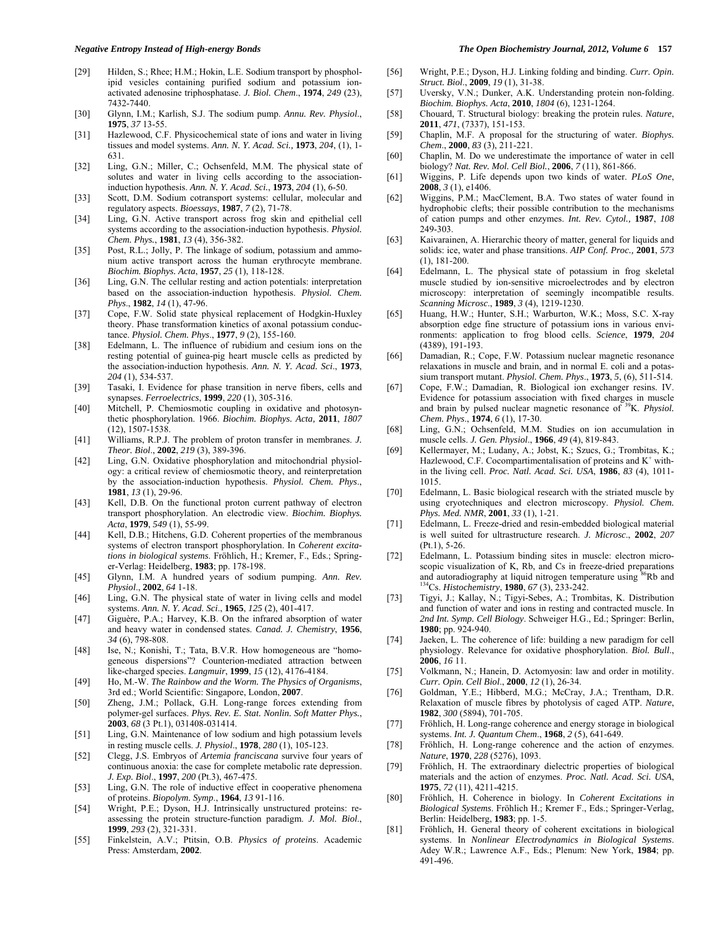- [29] Hilden, S.; Rhee; H.M.; Hokin, L.E. Sodium transport by phospholipid vesicles containing purified sodium and potassium ionactivated adenosine triphosphatase. *J. Biol. Chem*., **1974**, *249* (23), 7432-7440.
- [30] Glynn, I.M.; Karlish, S.J. The sodium pump. *Annu. Rev. Physiol*., **1975**, *37* 13-55.
- [31] Hazlewood, C.F. Physicochemical state of ions and water in living tissues and model systems. *Ann. N. Y. Acad. Sci.,* **1973**, *204*, (1), 1- 631.
- [32] Ling, G.N.; Miller, C.; Ochsenfeld, M.M. The physical state of solutes and water in living cells according to the associationinduction hypothesis. *Ann. N. Y. Acad. Sci.*, **1973**, *204* (1), 6-50.
- [33] Scott, D.M. Sodium cotransport systems: cellular, molecular and regulatory aspects. *Bioessays*, **1987**, *7* (2), 71-78.
- [34] Ling, G.N. Active transport across frog skin and epithelial cell systems according to the association-induction hypothesis. *Physiol. Chem. Phys.*, **1981**, *13* (4), 356-382.
- [35] Post, R.L.; Jolly, P. The linkage of sodium, potassium and ammonium active transport across the human erythrocyte membrane. *Biochim. Biophys. Acta*, **1957**, *25* (1), 118-128.
- [36] Ling, G.N. The cellular resting and action potentials: interpretation based on the association-induction hypothesis. *Physiol. Chem. Phys*., **1982**, *14* (1), 47-96.
- [37] Cope, F.W. Solid state physical replacement of Hodgkin-Huxley theory. Phase transformation kinetics of axonal potassium conductance. *Physiol. Chem. Phys*., **1977**, *9* (2), 155-160.
- [38] Edelmann, L. The influence of rubidium and cesium ions on the resting potential of guinea-pig heart muscle cells as predicted by the association-induction hypothesis. *Ann. N. Y. Acad. Sci*., **1973**, *204* (1), 534-537.
- [39] Tasaki, I. Evidence for phase transition in nerve fibers, cells and synapses. *Ferroelectrics*, **1999**, *220* (1), 305-316.
- [40] Mitchell, P. Chemiosmotic coupling in oxidative and photosynthetic phosphorylation. 1966. *Biochim. Biophys. Acta,* **2011**, *1807* (12), 1507-1538.
- [41] Williams, R.P.J. The problem of proton transfer in membranes. *J. Theor. Biol*., **2002**, *219* (3), 389-396.
- [42] Ling, G.N. Oxidative phosphorylation and mitochondrial physiology: a critical review of chemiosmotic theory, and reinterpretation by the association-induction hypothesis. *Physiol. Chem. Phys*., **1981**, *13* (1), 29-96.
- [43] Kell, D.B. On the functional proton current pathway of electron transport phosphorylation. An electrodic view. *Biochim. Biophys. Acta*, **1979**, *549* (1), 55-99.
- [44] Kell, D.B.; Hitchens, G.D. Coherent properties of the membranous systems of electron transport phosphorylation. In *Coherent excitations in biological systems*. Fröhlich, H.; Kremer, F., Eds.; Springer-Verlag: Heidelberg, **1983**; pp. 178-198.
- [45] Glynn, I.M. A hundred years of sodium pumping. *Ann. Rev. Physiol*., **2002**, *64* 1-18.
- [46] Ling, G.N. The physical state of water in living cells and model systems. *Ann. N. Y. Acad. Sci*., **1965**, *125* (2), 401-417.
- [47] Giguère, P.A.; Harvey, K.B. On the infrared absorption of water and heavy water in condensed states. *Canad. J. Chemistry*, **1956**, *34* (6), 798-808.
- [48] Ise, N.; Konishi, T.; Tata, B.V.R. How homogeneous are "homogeneous dispersions"? Counterion-mediated attraction between like-charged species. *Langmuir*, **1999**, *15* (12), 4176-4184.
- [49] Ho, M.-W. *The Rainbow and the Worm. The Physics of Organisms*, 3rd ed.; World Scientific: Singapore, London, **2007**.
- [50] Zheng, J.M.; Pollack, G.H. Long-range forces extending from polymer-gel surfaces. *Phys. Rev. E. Stat. Nonlin. Soft Matter Phys.*, **2003**, *68* (3 Pt.1), 031408-031414.
- [51] Ling, G.N. Maintenance of low sodium and high potassium levels in resting muscle cells. *J. Physiol*., **1978**, *280* (1), 105-123.
- [52] Clegg, J.S. Embryos of *Artemia franciscana* survive four years of continuous anoxia: the case for complete metabolic rate depression. *J. Exp. Biol*., **1997**, *200* (Pt.3), 467-475.
- [53] Ling, G.N. The role of inductive effect in cooperative phenomena of proteins. *Biopolym. Symp*., **1964**, *13* 91-116.
- [54] Wright, P.E.; Dyson, H.J. Intrinsically unstructured proteins: reassessing the protein structure-function paradigm. *J. Mol. Biol*., **1999**, *293* (2), 321-331.
- [55] Finkelstein, A.V.; Ptitsin, O.B. *Physics of proteins*. Academic Press: Amsterdam, **2002**.

#### *Negative Entropy Instead of High-energy Bonds The Open Biochemistry Journal, 2012, Volume 6* **157**

- [56] Wright, P.E.; Dyson, H.J. Linking folding and binding. *Curr. Opin. Struct. Biol*., **2009**, *19* (1), 31-38.
- [57] Uversky, V.N.; Dunker, A.K. Understanding protein non-folding. *Biochim. Biophys. Acta*, **2010**, *1804* (6), 1231-1264.
- [58] Chouard, T. Structural biology: breaking the protein rules. *Nature*, **2011**, *471*, (7337), 151-153.
- [59] Chaplin, M.F. A proposal for the structuring of water. *Biophys. Chem*., **2000**, *83* (3), 211-221.
- [60] Chaplin, M. Do we underestimate the importance of water in cell biology? *Nat. Rev. Mol. Cell Biol.*, **2006**, *7* (11), 861-866.
- [61] Wiggins, P. Life depends upon two kinds of water. *PLoS One*, **2008**, *3* (1), e1406.
- [62] Wiggins, P.M.; MacClement, B.A. Two states of water found in hydrophobic clefts; their possible contribution to the mechanisms of cation pumps and other enzymes. *Int. Rev. Cytol.,* **1987**, *108* 249-303.
- [63] Kaivarainen, A. Hierarchic theory of matter, general for liquids and solids: ice, water and phase transitions. *AIP Conf. Proc.,* **2001**, *573* (1), 181-200.
- [64] Edelmann, L. The physical state of potassium in frog skeletal muscle studied by ion-sensitive microelectrodes and by electron microscopy: interpretation of seemingly incompatible results. *Scanning Microsc*., **1989**, *3* (4), 1219-1230.
- [65] Huang, H.W.; Hunter, S.H.; Warburton, W.K.; Moss, S.C. X-ray absorption edge fine structure of potassium ions in various environments: application to frog blood cells. *Science*, **1979**, *204* (4389), 191-193.
- [66] Damadian, R.; Cope, F.W. Potassium nuclear magnetic resonance relaxations in muscle and brain, and in normal E. coli and a potassium transport mutant. *Physiol. Chem. Phys*., **1973**, *5*, (6), 511-514.
- [67] Cope, F.W.; Damadian, R. Biological ion exchanger resins. IV. Evidence for potassium association with fixed charges in muscle and brain by pulsed nuclear magnetic resonance of 39K. *Physiol. Chem. Phys*., **1974**, *6* (1), 17-30.
- [68] Ling, G.N.; Ochsenfeld, M.M. Studies on ion accumulation in muscle cells. *J. Gen. Physiol*., **1966**, *49* (4), 819-843.
- [69] Kellermayer, M.; Ludany, A.; Jobst, K.; Szucs, G.; Trombitas, K.; Hazlewood, C.F. Cocompartimentalisation of proteins and  $K^+$  within the living cell. *Proc. Natl. Acad. Sci. USA*, **1986**, *83* (4), 1011- 1015.
- [70] Edelmann, L. Basic biological research with the striated muscle by using cryotechniques and electron microscopy. *Physiol. Chem. Phys. Med. NMR*, **2001**, *33* (1), 1-21.
- [71] Edelmann, L. Freeze-dried and resin-embedded biological material is well suited for ultrastructure research. *J. Microsc*., **2002**, *207* (Pt.1), 5-26.
- [72] Edelmann, L. Potassium binding sites in muscle: electron microscopic visualization of K, Rb, and Cs in freeze-dried preparations and autoradiography at liquid nitrogen temperature using 86Rb and 134Cs. *Histochemistry*, **1980**, *67* (3), 233-242.
- [73] Tigyi, J.; Kallay, N.; Tigyi-Sebes, A.; Trombitas, K. Distribution and function of water and ions in resting and contracted muscle. In *2nd Int. Symp. Cell Biology*. Schweiger H.G., Ed.; Springer: Berlin, **1980**; pp. 924-940.
- [74] Jaeken, L. The coherence of life: building a new paradigm for cell physiology. Relevance for oxidative phosphorylation. *Biol. Bull*., **2006**, *16* 11.
- [75] Volkmann, N.; Hanein, D. Actomyosin: law and order in motility. *Curr. Opin. Cell Biol*., **2000**, *12* (1), 26-34.
- [76] Goldman, Y.E.; Hibberd, M.G.; McCray, J.A.; Trentham, D.R. Relaxation of muscle fibres by photolysis of caged ATP. *Nature*, **1982**, *300* (5894), 701-705.
- [77] Fröhlich, H. Long-range coherence and energy storage in biological systems. *Int. J. Quantum Chem*., **1968**, *2* (5), 641-649.
- [78] Fröhlich, H. Long-range coherence and the action of enzymes. *Nature*, **1970**, *228* (5276), 1093.
- [79] Fröhlich, H. The extraordinary dielectric properties of biological materials and the action of enzymes. *Proc. Natl. Acad. Sci. USA*, **1975**, *72* (11), 4211-4215.
- [80] Fröhlich, H. Coherence in biology. In *Coherent Excitations in Biological Systems*. Fröhlich H.; Kremer F., Eds.; Springer-Verlag, Berlin: Heidelberg, **1983**; pp. 1-5.
- [81] Fröhlich, H. General theory of coherent excitations in biological systems. In *Nonlinear Electrodynamics in Biological Systems*. Adey W.R.; Lawrence A.F., Eds.; Plenum: New York, **1984**; pp. 491-496.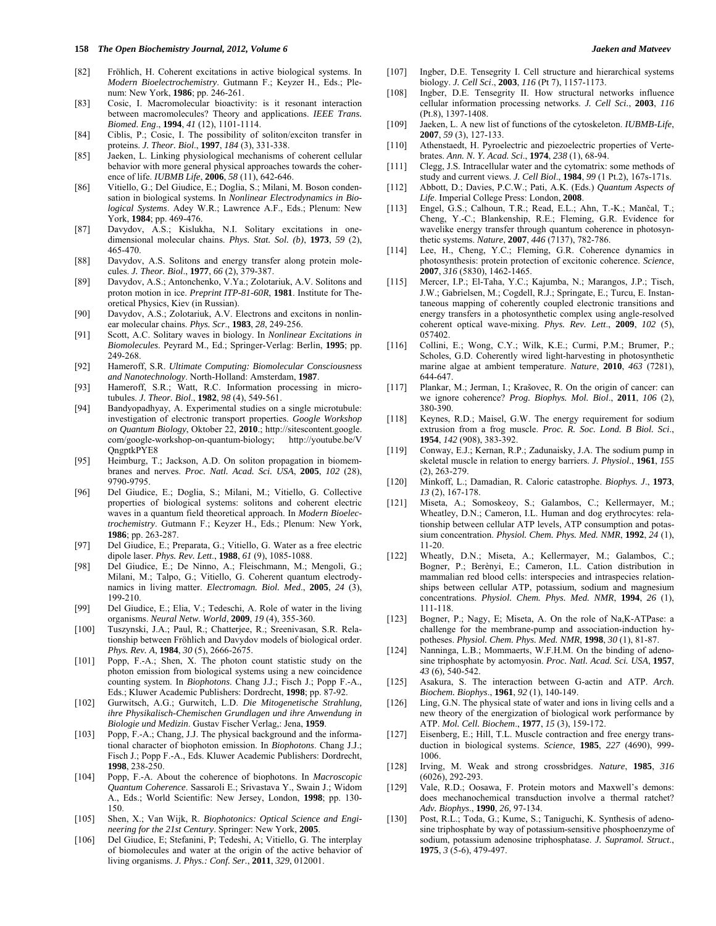- [82] Fröhlich, H. Coherent excitations in active biological systems. In *Modern Bioelectrochemistry*. Gutmann F.; Keyzer H., Eds.; Ple-
- num: New York, **1986**; pp. 246-261. [83] Cosic, I. Macromolecular bioactivity: is it resonant interaction between macromolecules? Theory and applications. *IEEE Trans. Biomed. Eng*., **1994**, *41* (12), 1101-1114.
- [84] Ciblis, P.; Cosic, I. The possibility of soliton/exciton transfer in proteins. *J. Theor. Biol*., **1997**, *184* (3), 331-338.
- [85] Jaeken, L. Linking physiological mechanisms of coherent cellular behavior with more general physical approaches towards the coherence of life. *IUBMB Life*, **2006**, *58* (11), 642-646.
- [86] Vitiello, G.; Del Giudice, E.; Doglia, S.; Milani, M. Boson condensation in biological systems. In *Nonlinear Electrodynamics in Biological Systems*. Adey W.R.; Lawrence A.F., Eds.; Plenum: New York, **1984**; pp. 469-476.
- [87] Davydov, A.S.; Kislukha, N.I. Solitary excitations in onedimensional molecular chains. *Phys. Stat. Sol. (b)*, **1973**, *59* (2), 465-470.
- [88] Davydov, A.S. Solitons and energy transfer along protein molecules. *J. Theor. Biol*., **1977**, *66* (2), 379-387.
- [89] Davydov, A.S.; Antonchenko, V.Ya.; Zolotariuk, A.V. Solitons and proton motion in ice. *Preprint ITP-81-60R*, **1981**. Institute for Theoretical Physics, Kiev (in Russian).
- [90] Davydov, A.S.; Zolotariuk, A.V. Electrons and excitons in nonlinear molecular chains. *Phys. Scr*., **1983**, *28*, 249-256.
- [91] Scott, A.C. Solitary waves in biology. In *Nonlinear Excitations in Biomolecules*. Peyrard M., Ed.; Springer-Verlag: Berlin, **1995**; pp. 249-268.
- [92] Hameroff, S.R. *Ultimate Computing: Biomolecular Consciousness and Nanotechnology*. North-Holland: Amsterdam, **1987**.
- [93] Hameroff, S.R.; Watt, R.C. Information processing in microtubules. *J. Theor. Biol*., **1982**, *98* (4), 549-561.
- [94] Bandyopadhyay, A. Experimental studies on a single microtubule: investigation of electronic transport properties. *Google Workshop on Quantum Biology*, Oktober 22, **2010**.; http://sitescontent.google. com/google-workshop-on-quantum-biology; [http://youtube.be/V](http://youtube.be/VQngptkPYE8)  [QngptkPYE8](http://youtube.be/VQngptkPYE8)
- [95] Heimburg, T.; Jackson, A.D. On soliton propagation in biomembranes and nerves. *Proc. Natl. Acad. Sci. USA*, **2005**, *102* (28), 9790-9795.
- [96] Del Giudice, E.; Doglia, S.; Milani, M.; Vitiello, G. Collective properties of biological systems: solitons and coherent electric waves in a quantum field theoretical approach. In *Modern Bioelectrochemistry*. Gutmann F.; Keyzer H., Eds.; Plenum: New York, **1986**; pp. 263-287.
- [97] Del Giudice, E.; Preparata, G.; Vitiello, G. Water as a free electric dipole laser. *Phys. Rev. Lett*., **1988**, *61* (9), 1085-1088.
- [98] Del Giudice, E.; De Ninno, A.; Fleischmann, M.; Mengoli, G.; Milani, M.; Talpo, G.; Vitiello, G. Coherent quantum electrodynamics in living matter. *Electromagn. Biol. Med*., **2005**, *24* (3), 199-210.
- [99] Del Giudice, E.; Elia, V.; Tedeschi, A. Role of water in the living organisms. *Neural Netw. World*, **2009**, *19* (4), 355-360.
- [100] Tuszynski, J.A.; Paul, R.; Chatterjee, R.; Sreenivasan, S.R. Relationship between Fröhlich and Davydov models of biological order. *Phys. Rev. A*, **1984**, *30* (5), 2666-2675.
- [101] Popp, F.-A.; Shen, X. The photon count statistic study on the photon emission from biological systems using a new coincidence counting system. In *Biophotons*. Chang J.J.; Fisch J.; Popp F.-A., Eds.; Kluwer Academic Publishers: Dordrecht, **1998**; pp. 87-92.
- [102] Gurwitsch, A.G.; Gurwitch, L.D. *Die Mitogenetische Strahlung, ihre Physikalisch-Chemischen Grundlagen und ihre Anwendung in Biologie und Medizin*. Gustav Fischer Verlag,: Jena, **1959**.
- [103] Popp, F.-A.; Chang, J.J. The physical background and the informational character of biophoton emission. In *Biophotons*. Chang J.J.; Fisch J.; Popp F.-A., Eds. Kluwer Academic Publishers: Dordrecht, **1998**, 238-250.
- [104] Popp, F.-A. About the coherence of biophotons. In *Macroscopic Quantum Coherence*. Sassaroli E.; Srivastava Y., Swain J.; Widom A., Eds.; World Scientific: New Jersey, London, **1998**; pp. 130- 150.
- [105] Shen, X.; Van Wijk, R. *Biophotonics: Optical Science and Engineering for the 21st Century*. Springer: New York, **2005**.
- [106] Del Giudice, E; Stefanini, P; Tedeshi, A; Vitiello, G. The interplay of biomolecules and water at the origin of the active behavior of living organisms. *J. Phys.: Conf. Ser.*, **2011**, *329*, 012001.
- [107] Ingber, D.E. Tensegrity I. Cell structure and hierarchical systems biology. *J. Cell Sci*., **2003**, *116* (Pt 7), 1157-1173.
- [108] Ingber, D.E. Tensegrity II. How structural networks influence cellular information processing networks. *J. Cell Sci.*, **2003**, *116* (Pt.8), 1397-1408.
- [109] Jaeken, L. A new list of functions of the cytoskeleton. *IUBMB-Life*, **2007**, *59* (3), 127-133.
- [110] Athenstaedt, H. Pyroelectric and piezoelectric properties of Vertebrates. *Ann. N. Y. Acad. Sci*., **1974**, *238* (1), 68-94.
- [111] Clegg, J.S. Intracellular water and the cytomatrix: some methods of study and current views. *J. Cell Biol*., **1984**, *99* (1 Pt.2), 167s-171s.
- [112] Abbott, D.; Davies, P.C.W.; Pati, A.K. (Eds.) *Quantum Aspects of Life*. Imperial College Press: London, **2008**.
- [113] Engel, G.S.; Calhoun, T.R.; Read, E.L.; Ahn, T.-K.; Mančal, T.; Cheng, Y.-C.; Blankenship, R.E.; Fleming, G.R. Evidence for wavelike energy transfer through quantum coherence in photosynthetic systems. *Nature*, **2007**, *446* (7137), 782-786.
- [114] Lee, H., Cheng, Y.C.; Fleming, G.R. Coherence dynamics in photosynthesis: protein protection of excitonic coherence. *Science*, **2007**, *316* (5830), 1462-1465.
- [115] Mercer, I.P.; El-Taha, Y.C.; Kajumba, N.; Marangos, J.P.; Tisch, J.W.; Gabrielsen, M.; Cogdell, R.J.; Springate, E.; Turcu, E. Instantaneous mapping of coherently coupled electronic transitions and energy transfers in a photosynthetic complex using angle-resolved coherent optical wave-mixing. *Phys. Rev. Lett*., **2009**, *102* (5), 057402.
- [116] Collini, E.; Wong, C.Y.; Wilk, K.E.; Curmi, P.M.; Brumer, P.; Scholes, G.D. Coherently wired light-harvesting in photosynthetic marine algae at ambient temperature. *Nature*, **2010**, *463* (7281), 644-647.
- [117] Plankar, M.; Jerman, I.; Krašovec, R. On the origin of cancer: can we ignore coherence? *Prog. Biophys. Mol. Biol*., **2011**, *106* (2), 380-390.
- [118] Keynes, R.D.; Maisel, G.W. The energy requirement for sodium extrusion from a frog muscle. *Proc. R. Soc. Lond. B Biol. Sci*., **1954**, *142* (908), 383-392.
- [119] Conway, E.J.; Kernan, R.P.; Zadunaisky, J.A. The sodium pump in skeletal muscle in relation to energy barriers. *J. Physiol*., **1961**, *155* (2), 263-279.
- [120] Minkoff, L.; Damadian, R. Caloric catastrophe. *Biophys. J*., **1973**, *13* (2), 167-178.
- [121] Miseta, A.; Somoskeoy, S.; Galambos, C.; Kellermayer, M.; Wheatley, D.N.; Cameron, I.L. Human and dog erythrocytes: relationship between cellular ATP levels, ATP consumption and potassium concentration. *Physiol. Chem. Phys. Med. NMR*, **1992**, *24* (1), 11-20.
- [122] Wheatly, D.N.; Miseta, A.; Kellermayer, M.; Galambos, C.; Bogner, P.; Berènyi, E.; Cameron, I.L. Cation distribution in mammalian red blood cells: interspecies and intraspecies relationships between cellular ATP, potassium, sodium and magnesium concentrations. *Physiol. Chem. Phys. Med. NMR*, **1994**, *26* (1), 111-118.
- [123] Bogner, P.; Nagy, E; Miseta, A. On the role of Na,K-ATPase: a challenge for the membrane-pump and association-induction hypotheses. *Physiol. Chem. Phys. Med. NMR*, **1998**, *30* (1), 81-87.
- [124] Nanninga, L.B.; Mommaerts, W.F.H.M. On the binding of adenosine triphosphate by actomyosin. *Proc. Natl. Acad. Sci. USA*, **1957**, *43* (6)*,* 540-542.
- [125] Asakura, S. The interaction between G-actin and ATP. *Arch. Biochem. Biophys*., **1961**, *92* (1), 140-149.
- [126] Ling, G.N. The physical state of water and ions in living cells and a new theory of the energization of biological work performance by ATP. *Mol. Cell. Biochem*., **1977**, *15* (3), 159-172.
- [127] Eisenberg, E.; Hill, T.L. Muscle contraction and free energy transduction in biological systems. *Science*, **1985**, *227* (4690), 999- 1006.
- [128] Irving, M. Weak and strong crossbridges. *Nature*, **1985**, *316* (6026), 292-293.
- [129] Vale, R.D.; Oosawa, F. Protein motors and Maxwell's demons: does mechanochemical transduction involve a thermal ratchet? *Adv. Biophys*., **1990**, *26,* 97-134.
- [130] Post, R.L.; Toda, G.; Kume, S.; Taniguchi, K. Synthesis of adenosine triphosphate by way of potassium-sensitive phosphoenzyme of sodium, potassium adenosine triphosphatase. *J. Supramol. Struct*., **1975**, *3* (5-6), 479-497.